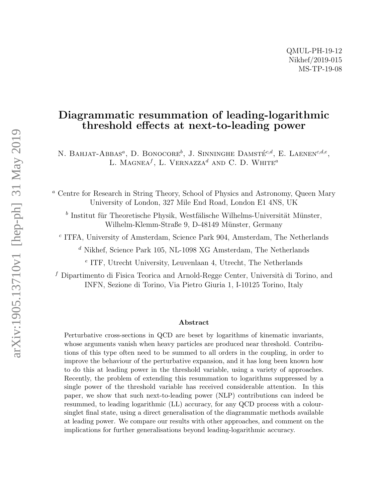## Diagrammatic resummation of leading-logarithmic threshold effects at next-to-leading power

N. BAHJAT-ABBAS<sup>a</sup>, D. BONOCORE<sup>b</sup>, J. SINNINGHE DAMSTÉ<sup>c,d</sup>, E. LAENEN<sup>c,d,e</sup>, L. MAGNEA<sup> $f$ </sup>, L. VERNAZZA<sup> $d$ </sup> AND C. D. WHITE<sup>a</sup>

<sup>a</sup> Centre for Research in String Theory, School of Physics and Astronomy, Queen Mary University of London, 327 Mile End Road, London E1 4NS, UK

 $b$  Institut für Theoretische Physik, Westfälische Wilhelms-Universität Münster, Wilhelm-Klemm-Straße 9, D-48149 Münster, Germany

c ITFA, University of Amsterdam, Science Park 904, Amsterdam, The Netherlands

 $^d$  Nikhef, Science Park 105, NL-1098 XG Amsterdam, The Netherlands

e ITF, Utrecht University, Leuvenlaan 4, Utrecht, The Netherlands

f Dipartimento di Fisica Teorica and Arnold-Regge Center, Università di Torino, and INFN, Sezione di Torino, Via Pietro Giuria 1, I-10125 Torino, Italy

#### Abstract

Perturbative cross-sections in QCD are beset by logarithms of kinematic invariants, whose arguments vanish when heavy particles are produced near threshold. Contributions of this type often need to be summed to all orders in the coupling, in order to improve the behaviour of the perturbative expansion, and it has long been known how to do this at leading power in the threshold variable, using a variety of approaches. Recently, the problem of extending this resummation to logarithms suppressed by a single power of the threshold variable has received considerable attention. In this paper, we show that such next-to-leading power (NLP) contributions can indeed be resummed, to leading logarithmic (LL) accuracy, for any QCD process with a coloursinglet final state, using a direct generalisation of the diagrammatic methods available at leading power. We compare our results with other approaches, and comment on the implications for further generalisations beyond leading-logarithmic accuracy.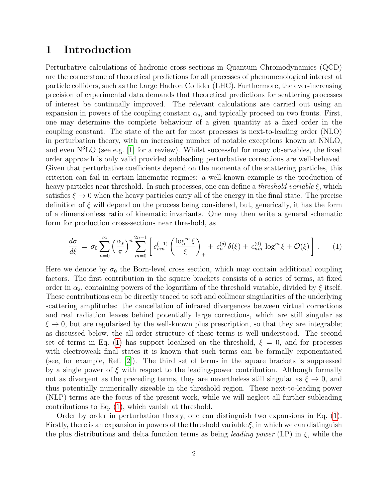## 1 Introduction

Perturbative calculations of hadronic cross sections in Quantum Chromodynamics (QCD) are the cornerstone of theoretical predictions for all processes of phenomenological interest at particle colliders, such as the Large Hadron Collider (LHC). Furthermore, the ever-increasing precision of experimental data demands that theoretical predictions for scattering processes of interest be continually improved. The relevant calculations are carried out using an expansion in powers of the coupling constant  $\alpha_s$ , and typically proceed on two fronts. First, one may determine the complete behaviour of a given quantity at a fixed order in the coupling constant. The state of the art for most processes is next-to-leading order (NLO) in perturbation theory, with an increasing number of notable exceptions known at NNLO, and even  $N<sup>3</sup>LO$  (see e.g. [\[1\]](#page-39-0) for a review). Whilst successful for many observables, the fixed order approach is only valid provided subleading perturbative corrections are well-behaved. Given that perturbative coefficients depend on the momenta of the scattering particles, this criterion can fail in certain kinematic regimes: a well-known example is the production of heavy particles near threshold. In such processes, one can define a *threshold variable*  $\xi$ , which satisfies  $\xi \to 0$  when the heavy particles carry all of the energy in the final state. The precise definition of  $\xi$  will depend on the process being considered, but, generically, it has the form of a dimensionless ratio of kinematic invariants. One may then write a general schematic form for production cross-sections near threshold, as

<span id="page-1-0"></span>
$$
\frac{d\sigma}{d\xi} = \sigma_0 \sum_{n=0}^{\infty} \left(\frac{\alpha_s}{\pi}\right)^n \sum_{m=0}^{2n-1} \left[ c_{nm}^{(-1)} \left( \frac{\log^m \xi}{\xi} \right)_+ + c_n^{(\delta)} \delta(\xi) + c_{nm}^{(0)} \log^m \xi + \mathcal{O}(\xi) \right]. \tag{1}
$$

Here we denote by  $\sigma_0$  the Born-level cross section, which may contain additional coupling factors. The first contribution in the square brackets consists of a series of terms, at fixed order in  $\alpha_s$ , containing powers of the logarithm of the threshold variable, divided by  $\xi$  itself. These contributions can be directly traced to soft and collinear singularities of the underlying scattering amplitudes: the cancellation of infrared divergences between virtual corrections and real radiation leaves behind potentially large corrections, which are still singular as  $\xi \to 0$ , but are regularised by the well-known plus prescription, so that they are integrable; as discussed below, the all-order structure of these terms is well understood. The second set of terms in Eq. [\(1\)](#page-1-0) has support localised on the threshold,  $\xi = 0$ , and for processes with electroweak final states it is known that such terms can be formally exponentiated (see, for example, Ref. [\[2\]](#page-39-1)). The third set of terms in the square brackets is suppressed by a single power of  $\xi$  with respect to the leading-power contribution. Although formally not as divergent as the preceding terms, they are nevertheless still singular as  $\xi \to 0$ , and thus potentially numerically sizeable in the threshold region. These next-to-leading power (NLP) terms are the focus of the present work, while we will neglect all further subleading contributions to Eq. [\(1\)](#page-1-0), which vanish at threshold.

Order by order in perturbation theory, one can distinguish two expansions in Eq. [\(1\)](#page-1-0). Firstly, there is an expansion in powers of the threshold variable  $\xi$ , in which we can distinguish the plus distributions and delta function terms as being *leading power* (LP) in  $\xi$ , while the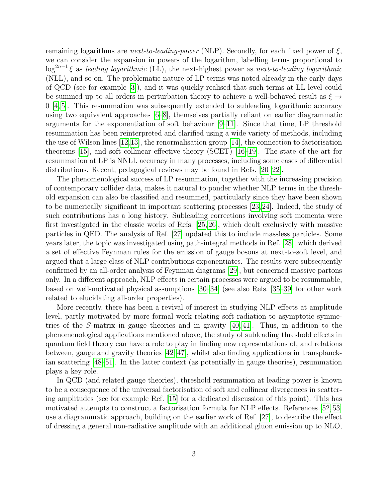remaining logarithms are *next-to-leading-power* (NLP). Secondly, for each fixed power of  $\xi$ , we can consider the expansion in powers of the logarithm, labelling terms proportional to  $\log^{2n-1} \xi$  as leading logarithmic (LL), the next-highest power as next-to-leading logarithmic (NLL), and so on. The problematic nature of LP terms was noted already in the early days of QCD (see for example [\[3\]](#page-39-2)), and it was quickly realised that such terms at LL level could be summed up to all orders in perturbation theory to achieve a well-behaved result as  $\xi \rightarrow$ 0 [\[4,](#page-39-3) [5\]](#page-39-4). This resummation was subsequently extended to subleading logarithmic accuracy using two equivalent approaches [\[6–](#page-39-5)[8\]](#page-39-6), themselves partially reliant on earlier diagrammatic arguments for the exponentiation of soft behaviour  $|9-11|$ . Since that time, LP threshold resummation has been reinterpreted and clarified using a wide variety of methods, including the use of Wilson lines [\[12,](#page-40-2)[13\]](#page-40-3), the renormalisation group [\[14\]](#page-40-4), the connection to factorisation theorems [\[15\]](#page-40-5), and soft collinear effective theory (SCET) [\[16](#page-40-6)[–19\]](#page-40-7). The state of the art for resummation at LP is NNLL accuracy in many processes, including some cases of differential distributions. Recent, pedagogical reviews may be found in Refs. [\[20–](#page-40-8)[22\]](#page-40-9).

The phenomenological success of LP resummation, together with the increasing precision of contemporary collider data, makes it natural to ponder whether NLP terms in the threshold expansion can also be classified and resummed, particularly since they have been shown to be numerically significant in important scattering processes [\[23,](#page-40-10)[24\]](#page-41-0). Indeed, the study of such contributions has a long history. Subleading corrections involving soft momenta were first investigated in the classic works of Refs. [\[25,](#page-41-1) [26\]](#page-41-2), which dealt exclusively with massive particles in QED. The analysis of Ref. [\[27\]](#page-41-3) updated this to include massless particles. Some years later, the topic was investigated using path-integral methods in Ref. [\[28\]](#page-41-4), which derived a set of effective Feynman rules for the emission of gauge bosons at next-to-soft level, and argued that a large class of NLP contributions exponentiates. The results were subsequently confirmed by an all-order analysis of Feynman diagrams [\[29\]](#page-41-5), but concerned massive partons only. In a different approach, NLP effects in certain processes were argued to be resummable, based on well-motivated physical assumptions [\[30–](#page-41-6)[34\]](#page-41-7) (see also Refs. [\[35–](#page-41-8)[39\]](#page-42-0) for other work related to elucidating all-order properties).

More recently, there has been a revival of interest in studying NLP effects at amplitude level, partly motivated by more formal work relating soft radiation to asymptotic symmetries of the S-matrix in gauge theories and in gravity [\[40,](#page-42-1) [41\]](#page-42-2). Thus, in addition to the phenomenological applications mentioned above, the study of subleading threshold effects in quantum field theory can have a role to play in finding new representations of, and relations between, gauge and gravity theories [\[42–](#page-42-3)[47\]](#page-42-4), whilst also finding applications in transplanckian scattering [\[48](#page-42-5)[–51\]](#page-42-6). In the latter context (as potentially in gauge theories), resummation plays a key role.

In QCD (and related gauge theories), threshold resummation at leading power is known to be a consequence of the universal factorisation of soft and collinear divergences in scattering amplitudes (see for example Ref. [\[15\]](#page-40-5) for a dedicated discussion of this point). This has motivated attempts to construct a factorisation formula for NLP effects. References [\[52,](#page-42-7) [53\]](#page-42-8) use a diagrammatic approach, building on the earlier work of Ref. [\[27\]](#page-41-3), to describe the effect of dressing a general non-radiative amplitude with an additional gluon emission up to NLO,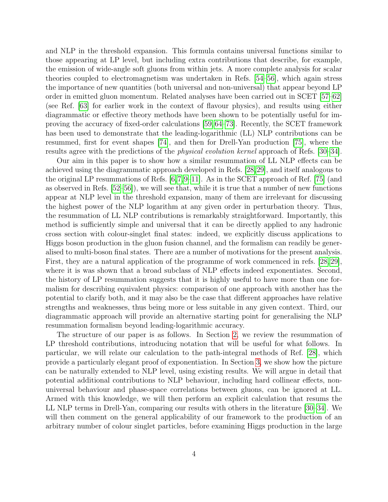and NLP in the threshold expansion. This formula contains universal functions similar to those appearing at LP level, but including extra contributions that describe, for example, the emission of wide-angle soft gluons from within jets. A more complete analysis for scalar theories coupled to electromagnetism was undertaken in Refs. [\[54–](#page-43-0)[56\]](#page-43-1), which again stress the importance of new quantities (both universal and non-universal) that appear beyond LP order in emitted gluon momentum. Related analyses have been carried out in SCET [\[57–](#page-43-2)[62\]](#page-43-3) (see Ref. [\[63\]](#page-43-4) for earlier work in the context of flavour physics), and results using either diagrammatic or effective theory methods have been shown to be potentially useful for improving the accuracy of fixed-order calculations [\[59,](#page-43-5) [64–](#page-43-6)[73\]](#page-44-0). Recently, the SCET framework has been used to demonstrate that the leading-logarithmic (LL) NLP contributions can be resummed, first for event shapes [\[74\]](#page-44-1), and then for Drell-Yan production [\[75\]](#page-44-2), where the results agree with the predictions of the physical evolution kernel approach of Refs. [\[30–](#page-41-6)[34\]](#page-41-7).

Our aim in this paper is to show how a similar resummation of LL NLP effects can be achieved using the diagrammatic approach developed in Refs. [\[28,](#page-41-4)[29\]](#page-41-5), and itself analogous to the original LP resummations of Refs. [\[6,](#page-39-5)[7,](#page-39-7)[9–](#page-40-0)[11\]](#page-40-1). As in the SCET approach of Ref. [\[75\]](#page-44-2) (and as observed in Refs. [\[52–](#page-42-7)[56\]](#page-43-1)), we will see that, while it is true that a number of new functions appear at NLP level in the threshold expansion, many of them are irrelevant for discussing the highest power of the NLP logarithm at any given order in perturbation theory. Thus, the resummation of LL NLP contributions is remarkably straightforward. Importantly, this method is sufficiently simple and universal that it can be directly applied to any hadronic cross section with colour-singlet final states: indeed, we explicitly discuss applications to Higgs boson production in the gluon fusion channel, and the formalism can readily be generalised to multi-boson final states. There are a number of motivations for the present analysis. First, they are a natural application of the programme of work commenced in refs. [\[28,](#page-41-4) [29\]](#page-41-5), where it is was shown that a broad subclass of NLP effects indeed exponentiates. Second, the history of LP resummation suggests that it is highly useful to have more than one formalism for describing equivalent physics: comparison of one approach with another has the potential to clarify both, and it may also be the case that different approaches have relative strengths and weaknesses, thus being more or less suitable in any given context. Third, our diagrammatic approach will provide an alternative starting point for generalising the NLP resummation formalism beyond leading-logarithmic accuracy.

The structure of our paper is as follows. In Section [2,](#page-4-0) we review the resummation of LP threshold contributions, introducing notation that will be useful for what follows. In particular, we will relate our calculation to the path-integral methods of Ref. [\[28\]](#page-41-4), which provide a particularly elegant proof of exponentiation. In Section [3,](#page-10-0) we show how the picture can be naturally extended to NLP level, using existing results. We will argue in detail that potential additional contributions to NLP behaviour, including hard collinear effects, nonuniversal behaviour and phase-space correlations between gluons, can be ignored at LL. Armed with this knowledge, we will then perform an explicit calculation that resums the LL NLP terms in Drell-Yan, comparing our results with others in the literature [\[30–](#page-41-6)[34\]](#page-41-7). We will then comment on the general applicability of our framework to the production of an arbitrary number of colour singlet particles, before examining Higgs production in the large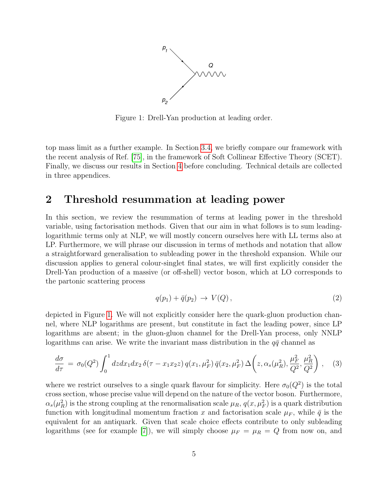

<span id="page-4-1"></span>Figure 1: Drell-Yan production at leading order.

top mass limit as a further example. In Section [3.4,](#page-24-0) we briefly compare our framework with the recent analysis of Ref. [\[75\]](#page-44-2), in the framework of Soft Collinear Effective Theory (SCET). Finally, we discuss our results in Section [4](#page-32-0) before concluding. Technical details are collected in three appendices.

# <span id="page-4-0"></span>2 Threshold resummation at leading power

In this section, we review the resummation of terms at leading power in the threshold variable, using factorisation methods. Given that our aim in what follows is to sum leadinglogarithmic terms only at NLP, we will mostly concern ourselves here with LL terms also at LP. Furthermore, we will phrase our discussion in terms of methods and notation that allow a straightforward generalisation to subleading power in the threshold expansion. While our discussion applies to general colour-singlet final states, we will first explicitly consider the Drell-Yan production of a massive (or off-shell) vector boson, which at LO corresponds to the partonic scattering process

$$
q(p_1) + \bar{q}(p_2) \rightarrow V(Q), \qquad (2)
$$

depicted in Figure [1.](#page-4-1) We will not explicitly consider here the quark-gluon production channel, where NLP logarithms are present, but constitute in fact the leading power, since LP logarithms are absent; in the gluon-gluon channel for the Drell-Yan process, only NNLP logarithms can arise. We write the invariant mass distribution in the  $q\bar{q}$  channel as

<span id="page-4-2"></span>
$$
\frac{d\sigma}{d\tau} = \sigma_0(Q^2) \int_0^1 dz dx_1 dx_2 \,\delta(\tau - x_1 x_2 z) \, q(x_1, \mu_F^2) \,\bar{q}(x_2, \mu_F^2) \,\Delta\left(z, \alpha_s(\mu_R^2), \frac{\mu_F^2}{Q^2}, \frac{\mu_R^2}{Q^2}\right) \,,\tag{3}
$$

where we restrict ourselves to a single quark flavour for simplicity. Here  $\sigma_0(Q^2)$  is the total cross section, whose precise value will depend on the nature of the vector boson. Furthermore,  $\alpha_s(\mu_R^2)$  is the strong coupling at the renormalisation scale  $\mu_R$ ,  $q(x, \mu_F^2)$  is a quark distribution function with longitudinal momentum fraction x and factorisation scale  $\mu_F$ , while  $\bar{q}$  is the equivalent for an antiquark. Given that scale choice effects contribute to only subleading logarithms (see for example [\[7\]](#page-39-7)), we will simply choose  $\mu_F = \mu_R = Q$  from now on, and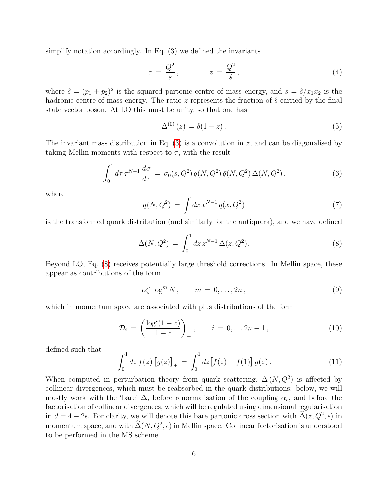simplify notation accordingly. In Eq. [\(3\)](#page-4-2) we defined the invariants

$$
\tau = \frac{Q^2}{s}, \qquad z = \frac{Q^2}{\hat{s}}, \qquad (4)
$$

where  $\hat{s} = (p_1 + p_2)^2$  is the squared partonic centre of mass energy, and  $s = \hat{s}/x_1x_2$  is the hadronic centre of mass energy. The ratio  $z$  represents the fraction of  $\hat{s}$  carried by the final state vector boson. At LO this must be unity, so that one has

$$
\Delta^{(0)}(z) = \delta(1-z). \tag{5}
$$

The invariant mass distribution in Eq.  $(3)$  is a convolution in z, and can be diagonalised by taking Mellin moments with respect to  $\tau$ , with the result

<span id="page-5-2"></span>
$$
\int_0^1 d\tau \,\tau^{N-1} \,\frac{d\sigma}{d\tau} = \sigma_0(s, Q^2) \, q(N, Q^2) \,\bar{q}(N, Q^2) \,\Delta(N, Q^2) \,,\tag{6}
$$

where

$$
q(N, Q^2) = \int dx \, x^{N-1} \, q(x, Q^2) \tag{7}
$$

is the transformed quark distribution (and similarly for the antiquark), and we have defined

<span id="page-5-0"></span>
$$
\Delta(N, Q^2) = \int_0^1 dz \, z^{N-1} \, \Delta(z, Q^2). \tag{8}
$$

Beyond LO, Eq. [\(8\)](#page-5-0) receives potentially large threshold corrections. In Mellin space, these appear as contributions of the form

<span id="page-5-1"></span>
$$
\alpha_s^n \log^m N, \qquad m = 0, \dots, 2n,
$$
\n(9)

which in momentum space are associated with plus distributions of the form

$$
\mathcal{D}_i = \left(\frac{\log^i(1-z)}{1-z}\right)_+, \qquad i = 0, \dots 2n-1, \tag{10}
$$

defined such that

$$
\int_0^1 dz f(z) [g(z)]_+ = \int_0^1 dz [f(z) - f(1)] g(z).
$$
 (11)

When computed in perturbation theory from quark scattering,  $\Delta(N,Q^2)$  is affected by collinear divergences, which must be reabsorbed in the quark distributions: below, we will mostly work with the 'bare'  $\Delta$ , before renormalisation of the coupling  $\alpha_s$ , and before the factorisation of collinear divergences, which will be regulated using dimensional regularisation in  $d = 4 - 2\epsilon$ . For clarity, we will denote this bare partonic cross section with  $\widehat{\Delta}(z, Q^2, \epsilon)$  in momentum space, and with  $\widehat{\Delta}(N, Q^2, \epsilon)$  in Mellin space. Collinear factorisation is understood to be performed in the  $\overline{\text{MS}}$  scheme.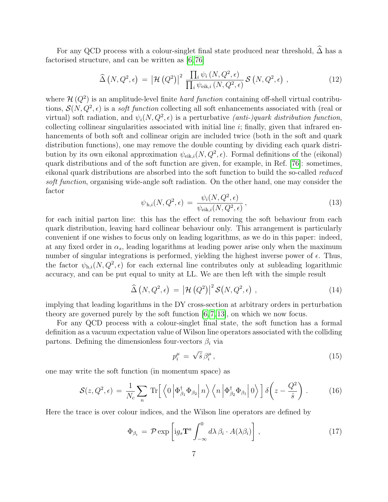For any QCD process with a colour-singlet final state produced near threshold,  $\widehat{\Delta}$  has a factorised structure, and can be written as [\[6,](#page-39-5) [76\]](#page-44-3)

<span id="page-6-3"></span>
$$
\widehat{\Delta}(N, Q^2, \epsilon) = |\mathcal{H}(Q^2)|^2 \frac{\prod_i \psi_i(N, Q^2, \epsilon)}{\prod_i \psi_{\text{eik},i}(N, Q^2, \epsilon)} \mathcal{S}(N, Q^2, \epsilon) , \qquad (12)
$$

where  $\mathcal{H}(Q^2)$  is an amplitude-level finite *hard function* containing off-shell virtual contributions,  $S(N, Q^2, \epsilon)$  is a *soft function* collecting all soft enhancements associated with (real or virtual) soft radiation, and  $\psi_i(N, Q^2, \epsilon)$  is a perturbative *(anti-)quark distribution function*, collecting collinear singularities associated with initial line  $i$ ; finally, given that infrared enhancements of both soft and collinear origin are included twice (both in the soft and quark distribution functions), one may remove the double counting by dividing each quark distribution by its own eikonal approximation  $\psi_{eik,i}(N, Q^2, \epsilon)$ . Formal definitions of the (eikonal) quark distributions and of the soft function are given, for example, in Ref. [\[76\]](#page-44-3): sometimes, eikonal quark distributions are absorbed into the soft function to build the so-called reduced soft function, organising wide-angle soft radiation. On the other hand, one may consider the factor

$$
\psi_{h,i}(N,Q^2,\epsilon) = \frac{\psi_i(N,Q^2,\epsilon)}{\psi_{\text{eik},i}(N,Q^2,\epsilon)},\tag{13}
$$

for each initial parton line: this has the effect of removing the soft behaviour from each quark distribution, leaving hard collinear behaviour only. This arrangement is particularly convenient if one wishes to focus only on leading logarithms, as we do in this paper: indeed, at any fixed order in  $\alpha_s$ , leading logarithms at leading power arise only when the maximum number of singular integrations is performed, yielding the highest inverse power of  $\epsilon$ . Thus, the factor  $\psi_{h,i}(N,Q^2,\epsilon)$  for each external line contributes only at subleading logarithmic accuracy, and can be put equal to unity at LL. We are then left with the simple result

<span id="page-6-1"></span>
$$
\widehat{\Delta}(N, Q^2, \epsilon) = |\mathcal{H}(Q^2)|^2 \mathcal{S}(N, Q^2, \epsilon) , \qquad (14)
$$

implying that leading logarithms in the DY cross-section at arbitrary orders in perturbation theory are governed purely by the soft function [\[6,](#page-39-5) [7,](#page-39-7) [13\]](#page-40-3), on which we now focus.

For any QCD process with a colour-singlet final state, the soft function has a formal definition as a vacuum expectation value of Wilson line operators associated with the colliding partons. Defining the dimensionless four-vectors  $\beta_i$  via

$$
p_i^{\mu} = \sqrt{\hat{s}} \,\beta_i^{\mu} \,, \tag{15}
$$

one may write the soft function (in momentum space) as

<span id="page-6-0"></span>
$$
\mathcal{S}(z, Q^2, \epsilon) = \frac{1}{N_c} \sum_{n} \text{Tr} \Big[ \left\langle 0 \left| \Phi_{\beta_1}^{\dagger} \Phi_{\beta_2} \right| n \right\rangle \left\langle n \left| \Phi_{\beta_2}^{\dagger} \Phi_{\beta_1} \right| 0 \right\rangle \Big] \delta \left( z - \frac{Q^2}{\hat{s}} \right) \,. \tag{16}
$$

Here the trace is over colour indices, and the Wilson line operators are defined by

<span id="page-6-2"></span>
$$
\Phi_{\beta_i} = \mathcal{P} \exp \left[ ig_s \mathbf{T}^a \int_{-\infty}^0 d\lambda \, \beta_i \cdot A(\lambda \beta_i) \right], \tag{17}
$$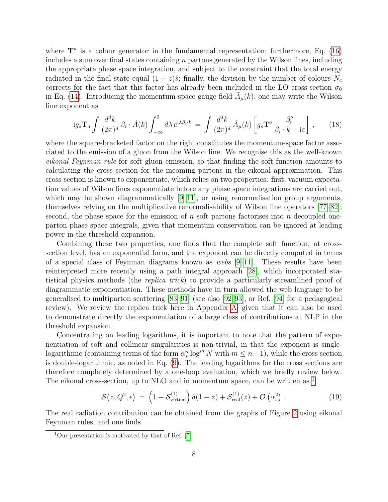where  $\mathbf{T}^a$  is a colour generator in the fundamental representation; furthermore, Eq. [\(16\)](#page-6-0) includes a sum over final states containing  $n$  partons generated by the Wilson lines, including the appropriate phase space integration, and subject to the constraint that the total energy radiated in the final state equal  $(1 - z)\hat{s}$ ; finally, the division by the number of colours  $N_c$ corrects for the fact that this factor has already been included in the LO cross-section  $\sigma_0$ in Eq. [\(14\)](#page-6-1). Introducing the momentum space gauge field  $\tilde{A}_{\mu}(k)$ , one may write the Wilson line exponent as

<span id="page-7-1"></span>
$$
ig_s \mathbf{T}_a \int \frac{d^d k}{(2\pi)^d} \beta_i \cdot \tilde{A}(k) \int_{-\infty}^0 d\lambda \, e^{i\lambda \beta_i \cdot k} = \int \frac{d^d k}{(2\pi)^d} \, \tilde{A}_\mu(k) \left[ g_s \mathbf{T}^a \, \frac{\beta_i^\mu}{\beta_i \cdot k - i\varepsilon} \right] \,,\tag{18}
$$

where the square-bracketed factor on the right constitutes the momentum-space factor associated to the emission of a gluon from the Wilson line. We recognise this as the well-known eikonal Feynman rule for soft gluon emission, so that finding the soft function amounts to calculating the cross section for the incoming partons in the eikonal approximation. This cross-section is known to exponentiate, which relies on two properties: first, vacuum expectation values of Wilson lines exponentiate before any phase space integrations are carried out, which may be shown diagrammatically  $[9-11]$  $[9-11]$ , or using renormalisation group arguments, themselves relying on the multiplicative renormalisability of Wilson line operators [\[77–](#page-44-4)[82\]](#page-45-0); second, the phase space for the emission of n soft partons factorises into n decoupled oneparton phase space integrals, given that momentum conservation can be ignored at leading power in the threshold expansion.

Combining these two properties, one finds that the complete soft function, at crosssection level, has an exponential form, and the exponent can be directly computed in terms of a special class of Feynman diagrams known as webs  $(9-11)$ . These results have been reinterpreted more recently using a path integral approach [\[28\]](#page-41-4), which incorporated statistical physics methods (the replica trick) to provide a particularly streamlined proof of diagrammatic exponentiation. These methods have in turn allowed the web language to be generalised to multiparton scattering [\[83](#page-45-1)[–91\]](#page-45-2) (see also [\[92,](#page-45-3)[93\]](#page-45-4), or Ref. [\[94\]](#page-45-5) for a pedagogical review). We review the replica trick here in Appendix [A,](#page-34-0) given that it can also be used to demonstrate directly the exponentiation of a large class of contributions at NLP in the threshold expansion.

Concentrating on leading logarithms, it is important to note that the pattern of exponentiation of soft and collinear singularities is non-trivial, in that the exponent is singlelogarithmic (containing terms of the form  $\alpha_s^n \log^m N$  with  $m \leq n+1$ ), while the cross section is double-logarithmic, as noted in Eq. [\(9\)](#page-5-1). The leading logarithms for the cross sections are therefore completely determined by a one-loop evaluation, which we briefly review below. The eikonal cross-section, up to NLO and in momentum space, can be written as <sup>[1](#page-7-0)</sup>

$$
\mathcal{S}(z, Q^2, \epsilon) = \left(1 + \mathcal{S}_{\text{virtual}}^{(1)}\right) \delta(1 - z) + \mathcal{S}_{\text{real}}^{(1)}(z) + \mathcal{O}\left(\alpha_s^2\right) \,. \tag{19}
$$

The real radiation contribution can be obtained from the graphs of Figure [2](#page-8-0) using eikonal Feynman rules, and one finds

<span id="page-7-0"></span> $1$ Our presentation is motivated by that of Ref. [\[7\]](#page-39-7).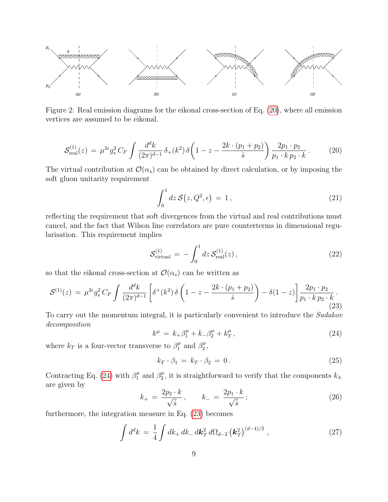

<span id="page-8-0"></span>Figure 2: Real emission diagrams for the eikonal cross-section of Eq. [\(20\)](#page-8-1), where all emission vertices are assumed to be eikonal.

<span id="page-8-1"></span>
$$
\mathcal{S}_{\text{real}}^{(1)}(z) = \mu^{2\epsilon} g_s^2 C_F \int \frac{d^d k}{(2\pi)^{d-1}} \, \delta_+(k^2) \, \delta\left(1 - z - \frac{2k \cdot (p_1 + p_2)}{\hat{s}}\right) \frac{2p_1 \cdot p_2}{p_1 \cdot k \, p_2 \cdot k} \,. \tag{20}
$$

The virtual contribution at  $\mathcal{O}(\alpha_s)$  can be obtained by direct calculation, or by imposing the soft gluon unitarity requirement

$$
\int_0^1 dz \, \mathcal{S}(z, Q^2, \epsilon) = 1, \tag{21}
$$

reflecting the requirement that soft divergences from the virtual and real contributions must cancel, and the fact that Wilson line correlators are pure counterterms in dimensional regularisation. This requirement implies

$$
S_{\text{virtual}}^{(1)} = -\int_0^1 dz \, S_{\text{real}}^{(1)}(z) \,, \tag{22}
$$

so that the eikonal cross-section at  $\mathcal{O}(\alpha_s)$  can be written as

<span id="page-8-3"></span>
$$
\mathcal{S}^{(1)}(z) = \mu^{2\epsilon} g_s^2 C_F \int \frac{d^d k}{(2\pi)^{d-1}} \left[ \delta^+(k^2) \, \delta \left( 1 - z - \frac{2k \cdot (p_1 + p_2)}{\hat{s}} \right) - \delta (1 - z) \right] \frac{2p_1 \cdot p_2}{p_1 \cdot k \, p_2 \cdot k} \,. \tag{23}
$$

To carry out the momentum integral, it is particularly convenient to introduce the Sudakov decomposition

<span id="page-8-2"></span>
$$
k^{\mu} = k_{+} \beta_{1}^{\mu} + k_{-} \beta_{2}^{\mu} + k_{T}^{\mu}, \qquad (24)
$$

where  $k_T$  is a four-vector transverse to  $\beta_1^{\mu}$  $\frac{\mu}{1}$  and  $\beta_2^{\mu}$  $_2^\mu,$ 

$$
k_T \cdot \beta_1 = k_T \cdot \beta_2 = 0. \tag{25}
$$

Contracting Eq. [\(24\)](#page-8-2) with  $\beta_1^{\mu}$  $\frac{\mu}{1}$  and  $\beta_2^{\mu}$  $\frac{\mu}{2}$ , it is straightforward to verify that the components  $k_{\pm}$ are given by

$$
k_{+} = \frac{2p_2 \cdot k}{\sqrt{\hat{s}}}, \qquad k_{-} = \frac{2p_1 \cdot k}{\sqrt{\hat{s}}}; \qquad (26)
$$

furthermore, the integration measure in Eq. [\(23\)](#page-8-3) becomes

$$
\int d^d k = \frac{1}{4} \int dk_+ \, dk_- \, d\mathbf{k}_T^2 \, d\Omega_{d-2} \left(\mathbf{k}_T^2\right)^{(d-4)/2}, \qquad (27)
$$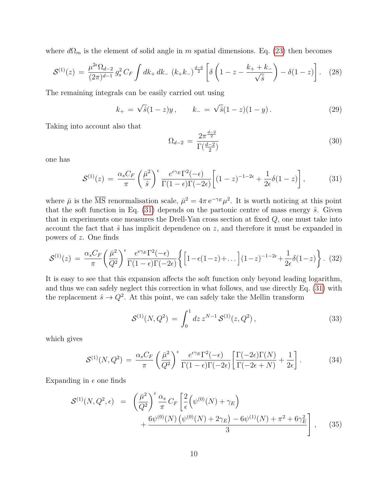where  $d\Omega_m$  is the element of solid angle in m spatial dimensions. Eq. [\(23\)](#page-8-3) then becomes

$$
\mathcal{S}^{(1)}(z) = \frac{\mu^{2\epsilon}\Omega_{d-2}}{(2\pi)^{d-1}} g_s^2 C_F \int dk_+ dk_- \left(k_+ k_-\right)^{\frac{d-6}{2}} \left[\delta\left(1-z - \frac{k_+ + k_-}{\sqrt{\hat{s}}}\right) - \delta(1-z)\right]. \tag{28}
$$

The remaining integrals can be easily carried out using

<span id="page-9-2"></span>
$$
k_{+} = \sqrt{\hat{s}}(1-z)y, \qquad k_{-} = \sqrt{\hat{s}}(1-z)(1-y). \tag{29}
$$

Taking into account also that

$$
\Omega_{d-2} = \frac{2\pi^{\frac{d-2}{2}}}{\Gamma(\frac{d-2}{2})}
$$
\n(30)

one has

<span id="page-9-0"></span>
$$
\mathcal{S}^{(1)}(z) = \frac{\alpha_s C_F}{\pi} \left( \frac{\bar{\mu}^2}{\hat{s}} \right)^{\epsilon} \frac{e^{\epsilon \gamma_E} \Gamma^2(-\epsilon)}{\Gamma(1-\epsilon)\Gamma(-2\epsilon)} \left[ (1-z)^{-1-2\epsilon} + \frac{1}{2\epsilon} \delta(1-z) \right],\tag{31}
$$

where  $\bar{\mu}$  is the  $\overline{\text{MS}}$  renormalisation scale,  $\bar{\mu}^2 = 4\pi e^{-\gamma_E} \mu^2$ . It is worth noticing at this point that the soft function in Eq.  $(31)$  depends on the partonic centre of mass energy  $\hat{s}$ . Given that in experiments one measures the Drell-Yan cross section at fixed Q, one must take into account the fact that  $\hat{s}$  has implicit dependence on z, and therefore it must be expanded in powers of z. One finds

$$
\mathcal{S}^{(1)}(z) = \frac{\alpha_s C_F}{\pi} \left( \frac{\bar{\mu}^2}{Q^2} \right)^{\epsilon} \frac{e^{\epsilon \gamma_E \Gamma^2(-\epsilon)}}{\Gamma(1-\epsilon)\Gamma(-2\epsilon)} \left\{ \left[ 1 - \epsilon (1-z) + \dots \right] (1-z)^{-1-2\epsilon} + \frac{1}{2\epsilon} \delta(1-z) \right\}.
$$
 (32)

It is easy to see that this expansion affects the soft function only beyond leading logarithm, and thus we can safely neglect this correction in what follows, and use directly Eq. [\(31\)](#page-9-0) with the replacement  $\hat{s} \to Q^2$ . At this point, we can safely take the Mellin transform

$$
\mathcal{S}^{(1)}(N, Q^2) = \int_0^1 dz \, z^{N-1} \, \mathcal{S}^{(1)}(z, Q^2) \,, \tag{33}
$$

which gives

$$
\mathcal{S}^{(1)}(N,Q^2) = \frac{\alpha_s C_F}{\pi} \left(\frac{\bar{\mu}^2}{Q^2}\right)^{\epsilon} \frac{e^{\epsilon \gamma_E} \Gamma^2(-\epsilon)}{\Gamma(1-\epsilon)\Gamma(-2\epsilon)} \left[\frac{\Gamma(-2\epsilon)\Gamma(N)}{\Gamma(-2\epsilon+N)} + \frac{1}{2\epsilon}\right].
$$
 (34)

Expanding in  $\epsilon$  one finds

<span id="page-9-1"></span>
$$
\mathcal{S}^{(1)}(N, Q^2, \epsilon) = \left(\frac{\bar{\mu}^2}{Q^2}\right)^{\epsilon} \frac{\alpha_s}{\pi} C_F \left[\frac{2}{\epsilon} \left(\psi^{(0)}(N) + \gamma_E\right) + \frac{6\psi^{(0)}(N)\left(\psi^{(0)}(N) + 2\gamma_E\right) - 6\psi^{(1)}(N) + \pi^2 + 6\gamma_E^2}{3}\right],
$$
(35)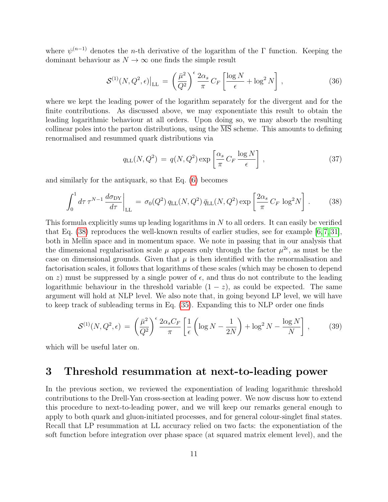where  $\psi^{(n-1)}$  denotes the *n*-th derivative of the logarithm of the  $\Gamma$  function. Keeping the dominant behaviour as  $N \to \infty$  one finds the simple result

$$
\mathcal{S}^{(1)}(N, Q^2, \epsilon)\Big|_{\text{LL}} = \left(\frac{\bar{\mu}^2}{Q^2}\right)^{\epsilon} \frac{2\alpha_s}{\pi} C_F \left[\frac{\log N}{\epsilon} + \log^2 N\right],\tag{36}
$$

where we kept the leading power of the logarithm separately for the divergent and for the finite contributions. As discussed above, we may exponentiate this result to obtain the leading logarithmic behaviour at all orders. Upon doing so, we may absorb the resulting collinear poles into the parton distributions, using the MS scheme. This amounts to defining renormalised and resummed quark distributions via

<span id="page-10-3"></span>
$$
q_{\rm LL}(N,Q^2) = q(N,Q^2) \exp\left[\frac{\alpha_s}{\pi} C_F \frac{\log N}{\epsilon}\right],\tag{37}
$$

and similarly for the antiquark, so that Eq. [\(6\)](#page-5-2) becomes

<span id="page-10-1"></span>
$$
\int_0^1 d\tau \,\tau^{N-1} \frac{d\sigma_{\rm DY}}{d\tau}\bigg|_{\rm LL} = \sigma_0(Q^2) q_{\rm LL}(N, Q^2) \,\bar{q}_{\rm LL}(N, Q^2) \exp\left[\frac{2\alpha_s}{\pi} C_F \,\log^2 N\right]. \tag{38}
$$

This formula explicitly sums up leading logarithms in  $N$  to all orders. It can easily be verified that Eq.  $(38)$  reproduces the well-known results of earlier studies, see for example  $[6, 7, 31]$  $[6, 7, 31]$  $[6, 7, 31]$ , both in Mellin space and in momentum space. We note in passing that in our analysis that the dimensional regularisation scale  $\mu$  appears only through the factor  $\mu^{2\epsilon}$ , as must be the case on dimensional grounds. Given that  $\mu$  is then identified with the renormalisation and factorisation scales, it follows that logarithms of these scales (which may be chosen to depend on z) must be suppressed by a single power of  $\epsilon$ , and thus do not contribute to the leading logarithmic behaviour in the threshold variable  $(1 - z)$ , as could be expected. The same argument will hold at NLP level. We also note that, in going beyond LP level, we will have to keep track of subleading terms in Eq. [\(35\)](#page-9-1). Expanding this to NLP order one finds

<span id="page-10-2"></span>
$$
\mathcal{S}^{(1)}(N, Q^2, \epsilon) = \left(\frac{\bar{\mu}^2}{Q^2}\right)^{\epsilon} \frac{2\alpha_s C_F}{\pi} \left[\frac{1}{\epsilon} \left(\log N - \frac{1}{2N}\right) + \log^2 N - \frac{\log N}{N}\right],\tag{39}
$$

which will be useful later on.

## <span id="page-10-0"></span>3 Threshold resummation at next-to-leading power

In the previous section, we reviewed the exponentiation of leading logarithmic threshold contributions to the Drell-Yan cross-section at leading power. We now discuss how to extend this procedure to next-to-leading power, and we will keep our remarks general enough to apply to both quark and gluon-initiated processes, and for general colour-singlet final states. Recall that LP resummation at LL accuracy relied on two facts: the exponentiation of the soft function before integration over phase space (at squared matrix element level), and the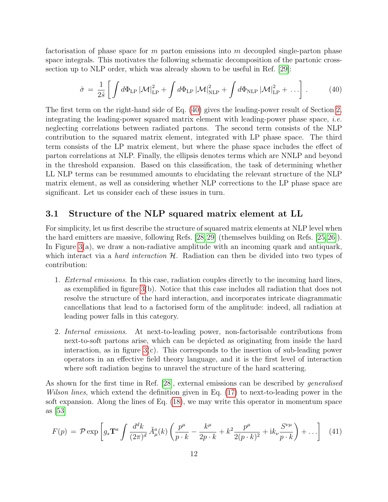factorisation of phase space for  $m$  parton emissions into  $m$  decoupled single-parton phase space integrals. This motivates the following schematic decomposition of the partonic crosssection up to NLP order, which was already shown to be useful in Ref. [\[29\]](#page-41-5):

<span id="page-11-0"></span>
$$
\hat{\sigma} = \frac{1}{2\hat{s}} \left[ \int d\Phi_{\rm LP} |\mathcal{M}|_{\rm LP}^2 + \int d\Phi_{\rm LP} |\mathcal{M}|_{\rm NLP}^2 + \int d\Phi_{\rm NLP} |\mathcal{M}|_{\rm LP}^2 + \dots \right]. \tag{40}
$$

The first term on the right-hand side of Eq. [\(40\)](#page-11-0) gives the leading-power result of Section [2,](#page-4-0) integrating the leading-power squared matrix element with leading-power phase space, *i.e.* neglecting correlations between radiated partons. The second term consists of the NLP contribution to the squared matrix element, integrated with LP phase space. The third term consists of the LP matrix element, but where the phase space includes the effect of parton correlations at NLP. Finally, the ellipsis denotes terms which are NNLP and beyond in the threshold expansion. Based on this classification, the task of determining whether LL NLP terms can be resummed amounts to elucidating the relevant structure of the NLP matrix element, as well as considering whether NLP corrections to the LP phase space are significant. Let us consider each of these issues in turn.

### <span id="page-11-2"></span>3.1 Structure of the NLP squared matrix element at LL

For simplicity, let us first describe the structure of squared matrix elements at NLP level when the hard emitters are massive, following Refs. [\[28,](#page-41-4)[29\]](#page-41-5) (themselves building on Refs. [\[25,](#page-41-1)[26\]](#page-41-2)). In Figure [3\(](#page-12-0)a), we draw a non-radiative amplitude with an incoming quark and antiquark, which interact via a *hard interaction*  $H$ . Radiation can then be divided into two types of contribution:

- 1. External emissions. In this case, radiation couples directly to the incoming hard lines, as exemplified in figure  $3(b)$ . Notice that this case includes all radiation that does not resolve the structure of the hard interaction, and incorporates intricate diagrammatic cancellations that lead to a factorised form of the amplitude: indeed, all radiation at leading power falls in this category.
- 2. Internal emissions. At next-to-leading power, non-factorisable contributions from next-to-soft partons arise, which can be depicted as originating from inside the hard interaction, as in figure [3\(](#page-12-0)c). This corresponds to the insertion of sub-leading power operators in an effective field theory language, and it is the first level of interaction where soft radiation begins to unravel the structure of the hard scattering.

As shown for the first time in Ref. [\[28\]](#page-41-4), external emissions can be described by generalised Wilson lines, which extend the definition given in Eq. [\(17\)](#page-6-2) to next-to-leading power in the soft expansion. Along the lines of Eq. [\(18\)](#page-7-1), we may write this operator in momentum space as [\[53\]](#page-42-8)

<span id="page-11-1"></span>
$$
F(p) = \mathcal{P} \exp\left[g_s \mathbf{T}^a \int \frac{d^d k}{(2\pi)^d} \tilde{A}^a_\mu(k) \left(\frac{p^\mu}{p \cdot k} - \frac{k^\mu}{2p \cdot k} + k^2 \frac{p^\mu}{2(p \cdot k)^2} + ik_\nu \frac{S^{\nu \mu}}{p \cdot k}\right) + \dots\right] \tag{41}
$$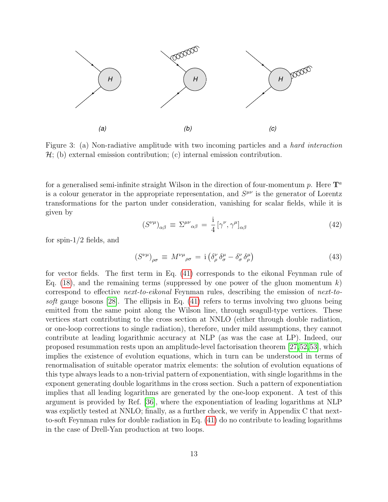

<span id="page-12-0"></span>Figure 3: (a) Non-radiative amplitude with two incoming particles and a hard interaction  $H$ ; (b) external emission contribution; (c) internal emission contribution.

for a generalised semi-infinite straight Wilson in the direction of four-momentum  $p$ . Here  $\mathbf{T}^{a}$ is a colour generator in the appropriate representation, and  $S^{\mu\nu}$  is the generator of Lorentz transformations for the parton under consideration, vanishing for scalar fields, while it is given by

$$
(S^{\nu\mu})_{\alpha\beta} \equiv \Sigma^{\mu\nu}{}_{\alpha\beta} = \frac{i}{4} [\gamma^{\nu}, \gamma^{\mu}]_{\alpha\beta} \tag{42}
$$

for spin-1/2 fields, and

$$
(S^{\nu\mu})_{\rho\sigma} \equiv M^{\nu\mu}{}_{\rho\sigma} = \mathrm{i} \left( \delta^{\nu}_{\rho} \delta^{\mu}_{\sigma} - \delta^{\nu}_{\sigma} \delta^{\mu}_{\rho} \right) \tag{43}
$$

for vector fields. The first term in Eq. [\(41\)](#page-11-1) corresponds to the eikonal Feynman rule of Eq. [\(18\)](#page-7-1), and the remaining terms (suppressed by one power of the gluon momentum  $k$ ) correspond to effective next-to-eikonal Feynman rules, describing the emission of next-tosoft gauge bosons [\[28\]](#page-41-4). The ellipsis in Eq. [\(41\)](#page-11-1) refers to terms involving two gluons being emitted from the same point along the Wilson line, through seagull-type vertices. These vertices start contributing to the cross section at NNLO (either through double radiation, or one-loop corrections to single radiation), therefore, under mild assumptions, they cannot contribute at leading logarithmic accuracy at NLP (as was the case at LP). Indeed, our proposed resummation rests upon an amplitude-level factorisation theorem [\[27,](#page-41-3)[52,](#page-42-7)[53\]](#page-42-8), which implies the existence of evolution equations, which in turn can be understood in terms of renormalisation of suitable operator matrix elements: the solution of evolution equations of this type always leads to a non-trivial pattern of exponentiation, with single logarithms in the exponent generating double logarithms in the cross section. Such a pattern of exponentiation implies that all leading logarithms are generated by the one-loop exponent. A test of this argument is provided by Ref. [\[36\]](#page-41-10), where the exponentiation of leading logarithms at NLP was explictly tested at NNLO; finally, as a further check, we verify in Appendix C that nextto-soft Feynman rules for double radiation in Eq. [\(41\)](#page-11-1) do no contribute to leading logarithms in the case of Drell-Yan production at two loops.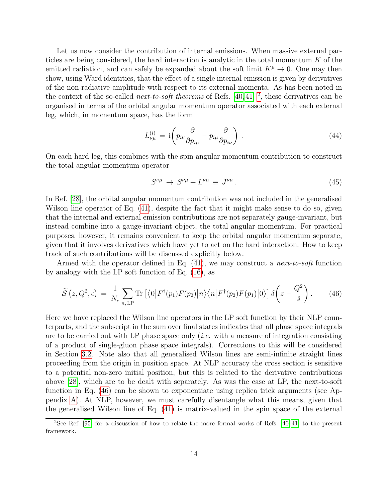Let us now consider the contribution of internal emissions. When massive external particles are being considered, the hard interaction is analytic in the total momentum  $K$  of the emitted radiation, and can safely be expanded about the soft limit  $K^{\mu} \to 0$ . One may then show, using Ward identities, that the effect of a single internal emission is given by derivatives of the non-radiative amplitude with respect to its external momenta. As has been noted in the context of the so-called *next-to-soft theorems* of Refs. [\[40,](#page-42-1) [41\]](#page-42-2) <sup>[2](#page-13-0)</sup>, these derivatives can be organised in terms of the orbital angular momentum operator associated with each external leg, which, in momentum space, has the form

$$
L_{\nu\mu}^{(i)} = \mathrm{i} \left( p_{i\nu} \frac{\partial}{\partial p_{i\mu}} - p_{i\mu} \frac{\partial}{\partial p_{i\nu}} \right) . \tag{44}
$$

On each hard leg, this combines with the spin angular momentum contribution to construct the total angular momentum operator

$$
S^{\nu\mu} \to S^{\nu\mu} + L^{\nu\mu} \equiv J^{\nu\mu} \,. \tag{45}
$$

In Ref. [\[28\]](#page-41-4), the orbital angular momentum contribution was not included in the generalised Wilson line operator of Eq.  $(41)$ , despite the fact that it might make sense to do so, given that the internal and external emission contributions are not separately gauge-invariant, but instead combine into a gauge-invariant object, the total angular momentum. For practical purposes, however, it remains convenient to keep the orbital angular momentum separate, given that it involves derivatives which have yet to act on the hard interaction. How to keep track of such contributions will be discussed explicitly below.

Armed with the operator defined in Eq. [\(41\)](#page-11-1), we may construct a next-to-soft function by analogy with the LP soft function of Eq. [\(16\)](#page-6-0), as

<span id="page-13-1"></span>
$$
\widetilde{\mathcal{S}}(z, Q^2, \epsilon) = \frac{1}{N_c} \sum_{n, \text{LP}} \text{Tr} \left[ \langle 0 | F^{\dagger}(p_1) F(p_2) | n \rangle \langle n | F^{\dagger}(p_2) F(p_1) | 0 \rangle \right] \delta \left( z - \frac{Q^2}{\hat{s}} \right). \tag{46}
$$

Here we have replaced the Wilson line operators in the LP soft function by their NLP counterparts, and the subscript in the sum over final states indicates that all phase space integrals are to be carried out with LP phase space only (i.e. with a measure of integration consisting of a product of single-gluon phase space integrals). Corrections to this will be considered in Section [3.2.](#page-17-0) Note also that all generalised Wilson lines are semi-infinite straight lines proceeding from the origin in position space. At NLP accuracy the cross section is sensitive to a potential non-zero initial position, but this is related to the derivative contributions above [\[28\]](#page-41-4), which are to be dealt with separately. As was the case at LP, the next-to-soft function in Eq. [\(46\)](#page-13-1) can be shown to exponentiate using replica trick arguments (see Appendix [A\)](#page-34-0). At NLP, however, we must carefully disentangle what this means, given that the generalised Wilson line of Eq. [\(41\)](#page-11-1) is matrix-valued in the spin space of the external

<span id="page-13-0"></span><sup>2</sup>See Ref. [\[95\]](#page-45-6) for a discussion of how to relate the more formal works of Refs. [\[40,](#page-42-1) [41\]](#page-42-2) to the present framework.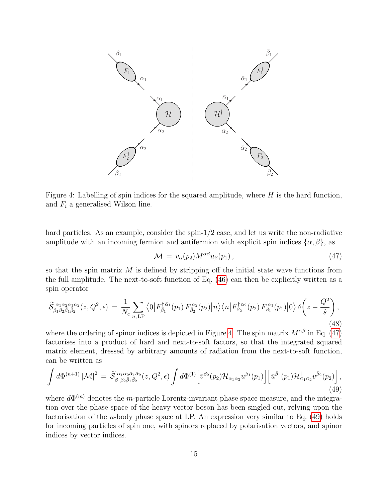

<span id="page-14-0"></span>Figure 4: Labelling of spin indices for the squared amplitude, where  $H$  is the hard function, and  $F_i$  a generalised Wilson line.

hard particles. As an example, consider the spin- $1/2$  case, and let us write the non-radiative amplitude with an incoming fermion and antifermion with explicit spin indices  $\{\alpha, \beta\}$ , as

<span id="page-14-1"></span>
$$
\mathcal{M} = \bar{v}_{\alpha}(p_2) M^{\alpha\beta} u_{\beta}(p_1), \qquad (47)
$$

so that the spin matrix  $M$  is defined by stripping off the initial state wave functions from the full amplitude. The next-to-soft function of Eq. [\(46\)](#page-13-1) can then be explicitly written as a spin operator

$$
\widetilde{\mathcal{S}}_{\beta_1 \beta_2 \bar{\beta}_1 \bar{\beta}_2}^{\alpha_1 \alpha_2 \bar{\alpha}_1 \bar{\alpha}_2}(z, Q^2, \epsilon) = \frac{1}{N_c} \sum_{n, \text{LP}} \left\langle 0 \left| F_{\bar{\beta}_1}^{\dagger \bar{\alpha}_1}(p_1) F_{\bar{\beta}_2}^{\bar{\alpha}_2}(p_2) \right| n \right\rangle \left\langle n \left| F_{\beta_2}^{\dagger \alpha_2}(p_2) F_{\beta_1}^{\alpha_1}(p_1) \right| 0 \right\rangle \delta \left( z - \frac{Q^2}{\hat{s}} \right),\tag{48}
$$

where the ordering of spinor indices is depicted in Figure [4.](#page-14-0) The spin matrix  $M^{\alpha\beta}$  in Eq. [\(47\)](#page-14-1) factorises into a product of hard and next-to-soft factors, so that the integrated squared matrix element, dressed by arbitrary amounts of radiation from the next-to-soft function, can be written as

<span id="page-14-2"></span>
$$
\int d\Phi^{(n+1)} |\mathcal{M}|^2 = \widetilde{\mathcal{S}}^{\alpha_1 \alpha_2 \bar{\alpha}_1 \bar{\alpha}_2}_{\beta_1 \beta_2 \bar{\beta}_1 \bar{\beta}_2}(z, Q^2, \epsilon) \int d\Phi^{(1)} \left[ \bar{v}^{\beta_2}(p_2) \mathcal{H}_{\alpha_1 \alpha_2} u^{\beta_1}(p_1) \right] \left[ \bar{u}^{\bar{\beta}_1}(p_1) \mathcal{H}_{\bar{\alpha}_1 \bar{\alpha}_2}^{\dagger} v^{\bar{\beta}_2}(p_2) \right],
$$
\n(49)

where  $d\Phi^{(m)}$  denotes the *m*-particle Lorentz-invariant phase space measure, and the integration over the phase space of the heavy vector boson has been singled out, relying upon the factorisation of the n-body phase space at LP. An expression very similar to Eq. [\(49\)](#page-14-2) holds for incoming particles of spin one, with spinors replaced by polarisation vectors, and spinor indices by vector indices.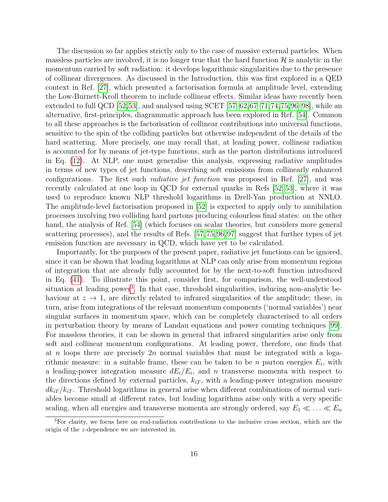The discussion so far applies strictly only to the case of massive external particles. When massless particles are involved, it is no longer true that the hard function  $\mathcal{H}$  is analytic in the momentum carried by soft radiation: it develops logarithmic singularities due to the presence of collinear divergences. As discussed in the Introduction, this was first explored in a QED context in Ref. [\[27\]](#page-41-3), which presented a factorisation formula at amplitude level, extending the Low-Burnett-Kroll theorem to include collinear effects. Similar ideas have recently been extended to full QCD  $[52,53]$  $[52,53]$ , and analysed using SCET  $[57-62,67-71,74,75,96-98]$  $[57-62,67-71,74,75,96-98]$  $[57-62,67-71,74,75,96-98]$  $[57-62,67-71,74,75,96-98]$  $[57-62,67-71,74,75,96-98]$  $[57-62,67-71,74,75,96-98]$ , while an alternative, first-principles, diagrammatic approach has been explored in Ref. [\[54\]](#page-43-0). Common to all these approaches is the factorisation of collinear contributions into universal functions, sensitive to the spin of the colliding particles but otherwise independent of the details of the hard scattering. More precisely, one may recall that, at leading power, collinear radiation is accounted for by means of jet-type functions, such as the parton distributions introduced in Eq. [\(12\)](#page-6-3). At NLP, one must generalise this analysis, expressing radiative amplitudes in terms of new types of jet functions, describing soft emissions from collinearly enhanced configurations. The first such radiative jet function was proposed in Ref. [\[27\]](#page-41-3), and was recently calculated at one loop in QCD for external quarks in Refs [\[52,](#page-42-7) [53\]](#page-42-8), where it was used to reproduce known NLP threshold logarithms in Drell-Yan production at NNLO. The amplitude-level factorisation proposed in [\[52\]](#page-42-7) is expected to apply only to annihilation processes involving two colliding hard partons producing colourless final states: on the other hand, the analysis of Ref. [\[54\]](#page-43-0) (which focuses on scalar theories, but considers more general scattering processes), and the results of Refs. [\[57,](#page-43-2)[75,](#page-44-2)[96,](#page-45-7)[97\]](#page-45-8) suggest that further types of jet emission function are necessary in QCD, which have yet to be calculated.

Importantly, for the purposes of the present paper, radiative jet functions can be ignored, since it can be shown that leading logarithms at NLP can only arise from momentum regions of integration that are already fully accounted for by the next-to-soft function introduced in Eq. [\(41\)](#page-11-1). To illustrate this point, consider first, for comparison, the well-understood situation at leading power<sup>[3](#page-15-0)</sup>. In that case, threshold singularities, inducing non-analytic behaviour at  $z \to 1$ , are directly related to infrared singularities of the amplitude; these, in turn, arise from integrations of the relevant momentum components ('normal variables') near singular surfaces in momentum space, which can be completely characterised to all orders in perturbation theory by means of Landau equations and power counting techniques [\[99\]](#page-46-1). For massless theories, it can be shown in general that infrared singularities arise only from soft and collinear momentum configurations. At leading power, therefore, one finds that at n loops there are precisely  $2n$  normal variables that must be integrated with a logarithmic measure: in a suitable frame, these can be taken to be *n* parton energies  $E_i$ , with a leading-power integration measure  $dE_i/E_i$ , and n transverse momenta with respect to the directions defined by external particles,  $k_{iT}$ , with a leading-power integration measure  $dk_{iT}/k_{iT}$ . Threshold logarithms in general arise when different combinations of normal variables become small at different rates, but leading logarithms arise only with a very specific scaling, when all energies and transverse momenta are strongly ordered, say  $E_1 \ll \ldots \ll E_n$ 

<span id="page-15-0"></span><sup>3</sup>For clarity, we focus here on real-radiation contributions to the inclusive cross section, which are the origin of the z-dependence we are interested in.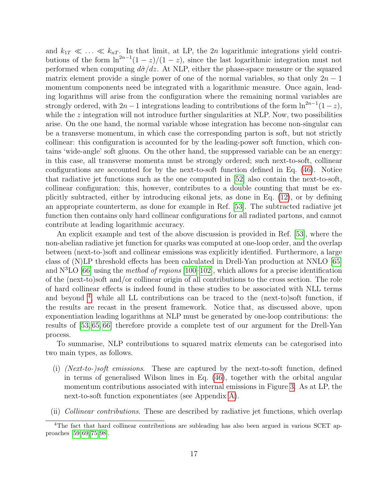and  $k_{1T} \ll \ldots \ll k_{nT}$ . In that limit, at LP, the 2n logarithmic integrations yield contributions of the form  $\ln^{2n-1}(1-z)/(1-z)$ , since the last logarithmic integration must not performed when computing  $d\hat{\sigma}/dz$ . At NLP, either the phase-space measure or the squared matrix element provide a single power of one of the normal variables, so that only  $2n-1$ momentum components need be integrated with a logarithmic measure. Once again, leading logarithms will arise from the configuration where the remaining normal variables are strongly ordered, with  $2n - 1$  integrations leading to contributions of the form  $\ln^{2n-1}(1-z)$ , while the  $z$  integration will not introduce further singularities at NLP. Now, two possibilities arise. On the one hand, the normal variable whose integration has become non-singular can be a transverse momentum, in which case the corresponding parton is soft, but not strictly collinear: this configuration is accounted for by the leading-power soft function, which contains 'wide-angle' soft gluons. On the other hand, the suppressed variable can be an energy: in this case, all transverse momenta must be strongly ordered; such next-to-soft, collinear configurations are accounted for by the next-to-soft function defined in Eq. [\(46\)](#page-13-1). Notice that radiative jet functions such as the one computed in [\[52\]](#page-42-7) also contain the next-to-soft, collinear configuration: this, however, contributes to a double counting that must be explicitly subtracted, either by introducing eikonal jets, as done in Eq. [\(12\)](#page-6-3), or by defining an appropriate counterterm, as done for example in Ref. [\[53\]](#page-42-8). The subtracted radiative jet function then contains only hard collinear configurations for all radiated partons, and cannot contribute at leading logarithmic accuracy.

An explicit example and test of the above discussion is provided in Ref. [\[53\]](#page-42-8), where the non-abelian radiative jet function for quarks was computed at one-loop order, and the overlap between (next-to-)soft and collinear emissions was explicitly identified. Furthermore, a large class of (N)LP threshold effects has been calculated in Drell-Yan production at NNLO [\[65\]](#page-43-8) and  $N<sup>3</sup>LO$  [\[66\]](#page-43-9) using the method of regions [\[100](#page-46-2)[–102\]](#page-46-3), which allows for a precise identification of the (next-to)soft and/or collinear origin of all contributions to the cross section. The role of hard collinear effects is indeed found in these studies to be associated with NLL terms and beyond<sup>[4](#page-16-0)</sup>, while all LL contributions can be traced to the (next-to)soft function, if the results are recast in the present framework. Notice that, as discussed above, upon exponentiation leading logarithms at NLP must be generated by one-loop contributions: the results of [\[53,](#page-42-8) [65,](#page-43-8) [66\]](#page-43-9) therefore provide a complete test of our argument for the Drell-Yan process.

To summarise, NLP contributions to squared matrix elements can be categorised into two main types, as follows.

- (i) (Next-to-)soft emissions. These are captured by the next-to-soft function, defined in terms of generalised Wilson lines in Eq. [\(46\)](#page-13-1), together with the orbital angular momentum contributions associated with internal emissions in Figure [3.](#page-12-0) As at LP, the next-to-soft function exponentiates (see Appendix [A\)](#page-34-0).
- (ii) Collinear contributions. These are described by radiative jet functions, which overlap

<span id="page-16-0"></span><sup>&</sup>lt;sup>4</sup>The fact that hard collinear contributions are subleading has also been argued in various SCET approaches [\[59,](#page-43-5) [69,](#page-44-6) [75,](#page-44-2) [98\]](#page-46-0).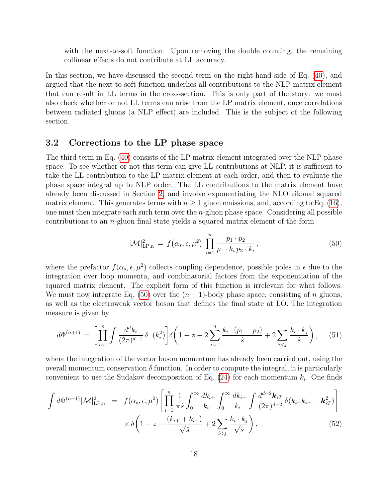with the next-to-soft function. Upon removing the double counting, the remaining collinear effects do not contribute at LL accuracy.

In this section, we have discussed the second term on the right-hand side of Eq. [\(40\)](#page-11-0), and argued that the next-to-soft function underlies all contributions to the NLP matrix element that can result in LL terms in the cross-section. This is only part of the story: we must also check whether or not LL terms can arise from the LP matrix element, once correlations between radiated gluons (a NLP effect) are included. This is the subject of the following section.

### <span id="page-17-0"></span>3.2 Corrections to the LP phase space

The third term in Eq. [\(40\)](#page-11-0) consists of the LP matrix element integrated over the NLP phase space. To see whether or not this term can give LL contributions at NLP, it is sufficient to take the LL contribution to the LP matrix element at each order, and then to evaluate the phase space integral up to NLP order. The LL contributions to the matrix element have already been discussed in Section [2,](#page-4-0) and involve exponentiating the NLO eikonal squared matrix element. This generates terms with  $n \geq 1$  gluon emissions, and, according to Eq. [\(16\)](#page-6-0), one must then integrate each such term over the  $n$ -gluon phase space. Considering all possible contributions to an n-gluon final state yields a squared matrix element of the form

<span id="page-17-1"></span>
$$
|\mathcal{M}|_{\text{LP,n}}^2 = f(\alpha_s, \epsilon, \mu^2) \prod_{i=1}^n \frac{p_1 \cdot p_2}{p_1 \cdot k_i \, p_2 \cdot k_i},
$$
\n(50)

where the prefactor  $f(\alpha_s, \epsilon, \mu^2)$  collects coupling dependence, possible poles in  $\epsilon$  due to the integration over loop momenta, and combinatorial factors from the exponentiation of the squared matrix element. The explicit form of this function is irrelevant for what follows. We must now integrate Eq. [\(50\)](#page-17-1) over the  $(n + 1)$ -body phase space, consisting of n gluons, as well as the electroweak vector boson that defines the final state at LO. The integration measure is given by

$$
d\Phi^{(n+1)} = \left[ \prod_{i=1}^{n} \int \frac{d^d k_i}{(2\pi)^{d-1}} \, \delta_+(k_i^2) \right] \delta\left(1 - z - 2 \sum_{i=1}^{n} \frac{k_i \cdot (p_1 + p_2)}{\hat{s}} + 2 \sum_{i < j} \frac{k_i \cdot k_j}{\hat{s}} \right), \tag{51}
$$

where the integration of the vector boson momentum has already been carried out, using the overall momentum conservation  $\delta$  function. In order to compute the integral, it is particularly convenient to use the Sudakov decomposition of Eq.  $(24)$  for each momentum  $k_i$ . One finds

<span id="page-17-2"></span>
$$
\int d\Phi^{(n+1)} |\mathcal{M}|^2_{\text{LP,n}} = f(\alpha_s, \epsilon, \mu^2) \left[ \prod_{i=1}^n \frac{1}{\pi \hat{s}} \int_0^\infty \frac{dk_{i+}}{k_{i+}} \int_0^\infty \frac{dk_{i-}}{k_{i-}} \int \frac{d^{d-2} \mathbf{k}_{iT}}{(2\pi)^{d-2}} \delta(k_{i-}k_{i+} - \mathbf{k}_{iT}^2) \right] \times \delta \left( 1 - z - \frac{(k_{i+} + k_{i-})}{\sqrt{\hat{s}}} + 2 \sum_{i < j} \frac{k_i \cdot k_j}{\sqrt{\hat{s}}} \right), \tag{52}
$$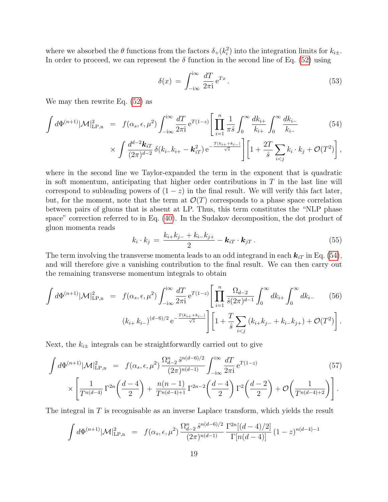where we absorbed the  $\theta$  functions from the factors  $\delta_+(k_i^2)$  into the integration limits for  $k_{i\pm}$ . In order to proceed, we can represent the  $\delta$  function in the second line of Eq. [\(52\)](#page-17-2) using

$$
\delta(x) = \int_{-i\infty}^{i\infty} \frac{dT}{2\pi i} e^{Tx} . \tag{53}
$$

We may then rewrite Eq. [\(52\)](#page-17-2) as

<span id="page-18-0"></span>
$$
\int d\Phi^{(n+1)} |\mathcal{M}|^2_{\text{LP,n}} = f(\alpha_s, \epsilon, \mu^2) \int_{-i\infty}^{i\infty} \frac{dT}{2\pi i} e^{T(1-z)} \left[ \prod_{i=1}^n \frac{1}{\pi \hat{s}} \int_0^\infty \frac{dk_{i+}}{k_{i+}} \int_0^\infty \frac{dk_{i-}}{k_{i-}} \right] \tag{54}
$$

$$
\times \int \frac{d^{d-2}k_{iT}}{(2\pi)^{d-2}} \,\delta(k_{i-}k_{i+} - \mathbf{k}_{iT}^2) \,\mathrm{e}^{-\frac{T(k_{i+}+k_{i-})}{\sqrt{s}}} \Bigg[ \Big[ 1 + \frac{2T}{\hat{s}} \sum_{i < j} k_i \cdot k_j + \mathcal{O}(T^2) \Bigg],
$$

where in the second line we Taylor-expanded the term in the exponent that is quadratic in soft momentum, anticipating that higher order contributions in  $T$  in the last line will correspond to subleading powers of  $(1-z)$  in the final result. We will verify this fact later, but, for the moment, note that the term at  $\mathcal{O}(T)$  corresponds to a phase space correlation between pairs of gluons that is absent at LP. Thus, this term constitutes the "NLP phase space" correction referred to in Eq. [\(40\)](#page-11-0). In the Sudakov decomposition, the dot product of gluon momenta reads

$$
k_i \cdot k_j = \frac{k_{i+}k_{j-} + k_{i-}k_{j+}}{2} - \boldsymbol{k}_{iT} \cdot \boldsymbol{k}_{jT} . \qquad (55)
$$

The term involving the transverse momenta leads to an odd integrand in each  $\mathbf{k}_{iT}$  in Eq. [\(54\)](#page-18-0), and will therefore give a vanishing contribution to the final result. We can then carry out the remaining transverse momentum integrals to obtain

$$
\int d\Phi^{(n+1)} |\mathcal{M}|^2_{\text{LP,n}} = f(\alpha_s, \epsilon, \mu^2) \int_{-i\infty}^{i\infty} \frac{dT}{2\pi i} e^{T(1-z)} \left[ \prod_{i=1}^n \frac{\Omega_{d-2}}{\hat{s}(2\pi)^{d-1}} \int_0^\infty dk_{i+} \int_0^\infty dk_{i-} \tag{56}
$$

$$
(k_{i+} k_{i-})^{(d-6)/2} e^{-\frac{T(k_{i+}+k_{i-})}{\sqrt{s}}} \right] \left[ 1 + \frac{T}{\hat{s}} \sum_{i < j} (k_{i+} k_{j-} + k_{i-} k_{j+}) + \mathcal{O}(T^2) \right].
$$

Next, the  $k_{i\pm}$  integrals can be straightforwardly carried out to give

$$
\int d\Phi^{(n+1)} |\mathcal{M}|^2_{\text{LP},n} = f(\alpha_s, \epsilon, \mu^2) \frac{\Omega_{d-2}^n \hat{s}^{n(d-6)/2}}{(2\pi)^{n(d-1)}} \int_{-i\infty}^{i\infty} \frac{dT}{2\pi i} e^{T(1-z)} \tag{57}
$$
\n
$$
\times \left[ \frac{1}{T^{n(d-4)}} \Gamma^{2n} \left( \frac{d-4}{2} \right) + \frac{n(n-1)}{T^{n(d-4)+1}} \Gamma^{2n-2} \left( \frac{d-4}{2} \right) \Gamma^2 \left( \frac{d-2}{2} \right) + \mathcal{O} \left( \frac{1}{T^{n(d-4)+2}} \right) \right].
$$

The integral in  $T$  is recognisable as an inverse Laplace transform, which yields the result

<span id="page-18-1"></span>
$$
\int d\Phi^{(n+1)} |\mathcal{M}|^2_{\text{LP,n}} = f(\alpha_s, \epsilon, \mu^2) \frac{\Omega_{d-2}^n \hat{s}^{n(d-6)/2}}{(2\pi)^{n(d-1)}} \frac{\Gamma^{2n}[(d-4)/2]}{\Gamma[n(d-4)]} (1-z)^{n(d-4)-1}
$$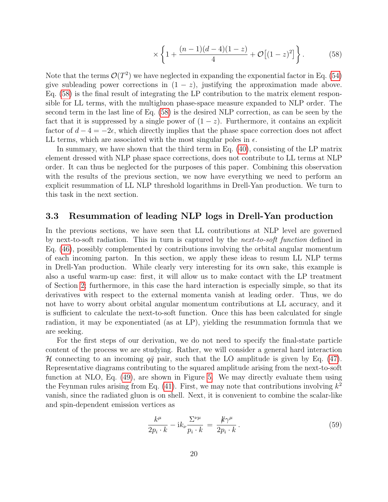$$
\times \left\{ 1 + \frac{(n-1)(d-4)(1-z)}{4} + \mathcal{O}\left[ (1-z)^2 \right] \right\}.
$$
 (58)

Note that the terms  $\mathcal{O}(T^2)$  we have neglected in expanding the exponential factor in Eq. [\(54\)](#page-18-0) give subleading power corrections in  $(1 - z)$ , justifying the approximation made above. Eq. [\(58\)](#page-18-1) is the final result of integrating the LP contribution to the matrix element responsible for LL terms, with the multigluon phase-space measure expanded to NLP order. The second term in the last line of Eq. [\(58\)](#page-18-1) is the desired NLP correction, as can be seen by the fact that it is suppressed by a single power of  $(1-z)$ . Furthermore, it contains an explicit factor of  $d-4=-2\epsilon$ , which directly implies that the phase space correction does not affect LL terms, which are associated with the most singular poles in  $\epsilon$ .

In summary, we have shown that the third term in Eq. [\(40\)](#page-11-0), consisting of the LP matrix element dressed with NLP phase space corrections, does not contribute to LL terms at NLP order. It can thus be neglected for the purposes of this paper. Combining this observation with the results of the previous section, we now have everything we need to perform an explicit resummation of LL NLP threshold logarithms in Drell-Yan production. We turn to this task in the next section.

#### <span id="page-19-0"></span>3.3 Resummation of leading NLP logs in Drell-Yan production

In the previous sections, we have seen that LL contributions at NLP level are governed by next-to-soft radiation. This in turn is captured by the next-to-soft function defined in Eq. [\(46\)](#page-13-1), possibly complemented by contributions involving the orbital angular momentum of each incoming parton. In this section, we apply these ideas to resum LL NLP terms in Drell-Yan production. While clearly very interesting for its own sake, this example is also a useful warm-up case: first, it will allow us to make contact with the LP treatment of Section [2;](#page-4-0) furthermore, in this case the hard interaction is especially simple, so that its derivatives with respect to the external momenta vanish at leading order. Thus, we do not have to worry about orbital angular momentum contributions at LL accuracy, and it is sufficient to calculate the next-to-soft function. Once this has been calculated for single radiation, it may be exponentiated (as at LP), yielding the resummation formula that we are seeking.

For the first steps of our derivation, we do not need to specify the final-state particle content of the process we are studying. Rather, we will consider a general hard interaction H connecting to an incoming  $q\bar{q}$  pair, such that the LO amplitude is given by Eq. [\(47\)](#page-14-1). Representative diagrams contributing to the squared amplitude arising from the next-to-soft function at NLO, Eq. [\(49\)](#page-14-2), are shown in Figure [5.](#page-20-0) We may directly evaluate them using the Feynman rules arising from Eq.  $(41)$ . First, we may note that contributions involving  $k^2$ vanish, since the radiated gluon is on shell. Next, it is convenient to combine the scalar-like and spin-dependent emission vertices as

$$
\frac{k^{\mu}}{2p_i \cdot k} - ik_{\nu} \frac{\Sigma^{\nu \mu}}{p_i \cdot k} = \frac{k \gamma^{\mu}}{2p_i \cdot k}.
$$
\n(59)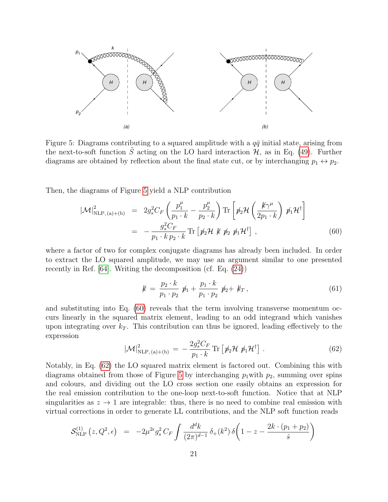

<span id="page-20-0"></span>Figure 5: Diagrams contributing to a squared amplitude with a  $q\bar{q}$  initial state, arising from the next-to-soft function  $\tilde{S}$  acting on the LO hard interaction  $\mathcal{H}$ , as in Eq. [\(49\)](#page-14-2). Further diagrams are obtained by reflection about the final state cut, or by interchanging  $p_1 \leftrightarrow p_2$ .

Then, the diagrams of Figure [5](#page-20-0) yield a NLP contribution

<span id="page-20-1"></span>
$$
|\mathcal{M}|^2_{\text{NLP},\text{(a)+(b)}} = 2g_s^2 C_F \left(\frac{p_1^{\mu}}{p_1 \cdot k} - \frac{p_2^{\mu}}{p_2 \cdot k}\right) \text{Tr}\left[\not p_2 \mathcal{H}\left(\frac{\not k \gamma^{\mu}}{2p_1 \cdot k}\right) \not p_1 \mathcal{H}^{\dagger}\right]
$$

$$
= -\frac{g_s^2 C_F}{p_1 \cdot k \, p_2 \cdot k} \text{Tr}\left[\not p_2 \mathcal{H} \not k \not p_2 \not p_1 \mathcal{H}^{\dagger}\right], \tag{60}
$$

where a factor of two for complex conjugate diagrams has already been included. In order to extract the LO squared amplitude, we may use an argument similar to one presented recently in Ref. [\[64\]](#page-43-6). Writing the decomposition (cf. Eq. [\(24\)](#page-8-2))

$$
k = \frac{p_2 \cdot k}{p_1 \cdot p_2} \not p_1 + \frac{p_1 \cdot k}{p_1 \cdot p_2} \not p_2 + k_T, \tag{61}
$$

and substituting into Eq. [\(60\)](#page-20-1) reveals that the term involving transverse momentum occurs linearly in the squared matrix element, leading to an odd integrand which vanishes upon integrating over  $k_T$ . This contribution can thus be ignored, leading effectively to the expression

<span id="page-20-2"></span>
$$
|\mathcal{M}|^2_{\text{NLP},\text{(a)+(b)}} = -\frac{2g_s^2 C_F}{p_1 \cdot k} \text{Tr}\left[\not{p}_2 \mathcal{H} \not{p}_1 \mathcal{H}^\dagger\right]. \tag{62}
$$

Notably, in Eq. [\(62\)](#page-20-2) the LO squared matrix element is factored out. Combining this with diagrams obtained from those of Figure [5](#page-20-0) by interchanging  $p_1$  with  $p_2$ , summing over spins and colours, and dividing out the LO cross section one easily obtains an expression for the real emission contribution to the one-loop next-to-soft function. Notice that at NLP singularities as  $z \to 1$  are integrable: thus, there is no need to combine real emission with virtual corrections in order to generate LL contributions, and the NLP soft function reads

$$
\mathcal{S}_{\text{NLP}}^{(1)}(z, Q^2, \epsilon) = -2\mu^{2\epsilon} g_s^2 C_F \int \frac{d^d k}{(2\pi)^{d-1}} \, \delta_+(k^2) \, \delta\bigg(1-z - \frac{2k \cdot (p_1 + p_2)}{\hat{s}}\bigg)
$$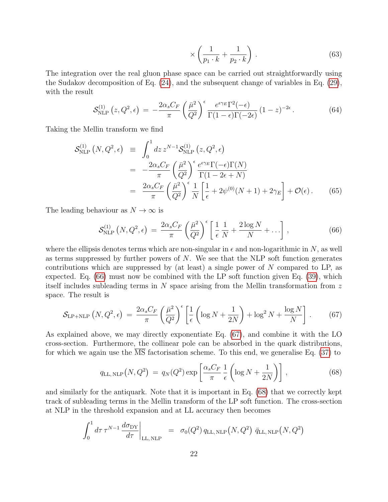$$
\times \left(\frac{1}{p_1 \cdot k} + \frac{1}{p_2 \cdot k}\right). \tag{63}
$$

The integration over the real gluon phase space can be carried out straightforwardly using the Sudakov decomposition of Eq. [\(24\)](#page-8-2), and the subsequent change of variables in Eq. [\(29\)](#page-9-2), with the result

$$
\mathcal{S}_{\text{NLP}}^{(1)}\left(z, Q^2, \epsilon\right) \, = \, -\frac{2\alpha_s C_F}{\pi} \left(\frac{\bar{\mu}^2}{Q^2}\right)^\epsilon \frac{e^{\epsilon \gamma_E} \Gamma^2(-\epsilon)}{\Gamma(1-\epsilon)\Gamma(-2\epsilon)} \left(1-z\right)^{-2\epsilon} \,. \tag{64}
$$

Taking the Mellin transform we find

<span id="page-21-3"></span>
$$
\mathcal{S}_{\text{NLP}}^{(1)}\left(N, Q^2, \epsilon\right) \equiv \int_0^1 dz \, z^{N-1} \mathcal{S}_{\text{NLP}}^{(1)}\left(z, Q^2, \epsilon\right)
$$
  
\n
$$
= -\frac{2\alpha_s C_F}{\pi} \left(\frac{\bar{\mu}^2}{Q^2}\right)^{\epsilon} \frac{e^{\epsilon \gamma_E} \Gamma(-\epsilon) \Gamma(N)}{\Gamma(1 - 2\epsilon + N)}
$$
  
\n
$$
= \frac{2\alpha_s C_F}{\pi} \left(\frac{\bar{\mu}^2}{Q^2}\right)^{\epsilon} \frac{1}{N} \left[\frac{1}{\epsilon} + 2\psi^{(0)}(N+1) + 2\gamma_E\right] + \mathcal{O}(\epsilon).
$$
 (65)

The leading behaviour as  $N \to \infty$  is

<span id="page-21-0"></span>
$$
\mathcal{S}_{\text{NLP}}^{(1)}\left(N, Q^2, \epsilon\right) \, = \, \frac{2\alpha_s C_F}{\pi} \left(\frac{\bar{\mu}^2}{Q^2}\right)^\epsilon \left[\frac{1}{\epsilon} \frac{1}{N} + \frac{2\log N}{N} + \ldots\right] \,,\tag{66}
$$

where the ellipsis denotes terms which are non-singular in  $\epsilon$  and non-logarithmic in N, as well as terms suppressed by further powers of  $N$ . We see that the NLP soft function generates contributions which are suppressed by (at least) a single power of  $N$  compared to LP, as expected. Eq. [\(66\)](#page-21-0) must now be combined with the LP soft function given Eq. [\(39\)](#page-10-2), which itself includes subleading terms in  $N$  space arising from the Mellin transformation from  $z$ space. The result is

<span id="page-21-1"></span>
$$
\mathcal{S}_{\text{LP+NLP}}\left(N, Q^2, \epsilon\right) = \frac{2\alpha_s C_F}{\pi} \left(\frac{\bar{\mu}^2}{Q^2}\right)^{\epsilon} \left[\frac{1}{\epsilon} \left(\log N + \frac{1}{2N}\right) + \log^2 N + \frac{\log N}{N}\right].\tag{67}
$$

As explained above, we may directly exponentiate Eq. [\(67\)](#page-21-1), and combine it with the LO cross-section. Furthermore, the collinear pole can be absorbed in the quark distributions, for which we again use the MS factorisation scheme. To this end, we generalise Eq. [\(37\)](#page-10-3) to

<span id="page-21-2"></span>
$$
q_{\text{LL,NLP}}(N, Q^2) = q_N(Q^2) \exp\left[\frac{\alpha_s C_F}{\pi} \frac{1}{\epsilon} \left(\log N + \frac{1}{2N}\right)\right],\tag{68}
$$

and similarly for the antiquark. Note that it is important in Eq. [\(68\)](#page-21-2) that we correctly kept track of subleading terms in the Mellin transform of the LP soft function. The cross-section at NLP in the threshold expansion and at LL accuracy then becomes

<span id="page-21-4"></span>
$$
\int_0^1 d\tau \tau^{N-1} \frac{d\sigma_{\rm DY}}{d\tau}\bigg|_{\rm LL, NLP} = \sigma_0(Q^2) q_{\rm LL, NLP}(N, Q^2) \bar{q}_{\rm LL, NLP}(N, Q^2)
$$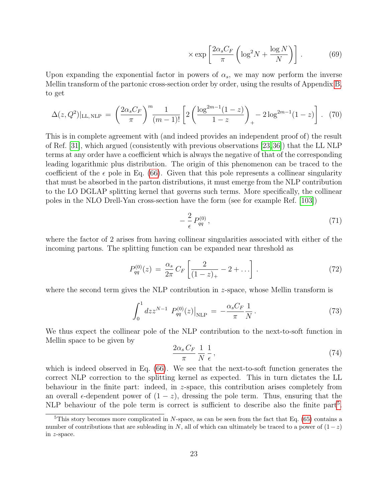$$
\times \exp\left[\frac{2\alpha_s C_F}{\pi} \left(\log^2 N + \frac{\log N}{N}\right)\right].\tag{69}
$$

Upon expanding the exponential factor in powers of  $\alpha_s$ , we may now perform the inverse Mellin transform of the partonic cross-section order by order, using the results of Appendix [B,](#page-37-0) to get

<span id="page-22-1"></span>
$$
\Delta(z,Q^2)|_{\text{LL,NLP}} = \left(\frac{2\alpha_s C_F}{\pi}\right)^m \frac{1}{(m-1)!} \left[2\left(\frac{\log^{2m-1}(1-z)}{1-z}\right)_+ - 2\log^{2m-1}(1-z)\right]. \tag{70}
$$

This is in complete agreement with (and indeed provides an independent proof of) the result of Ref. [\[31\]](#page-41-9), which argued (consistently with previous observations [\[23,](#page-40-10)[36\]](#page-41-10)) that the LL NLP terms at any order have a coefficient which is always the negative of that of the corresponding leading logarithmic plus distribution. The origin of this phenomenon can be traced to the coefficient of the  $\epsilon$  pole in Eq. [\(66\)](#page-21-0). Given that this pole represents a collinear singularity that must be absorbed in the parton distributions, it must emerge from the NLP contribution to the LO DGLAP splitting kernel that governs such terms. More specifically, the collinear poles in the NLO Drell-Yan cross-section have the form (see for example Ref. [\[103\]](#page-46-4))

$$
-\frac{2}{\epsilon}P_{qq}^{(0)}\,,\tag{71}
$$

where the factor of 2 arises from having collinear singularities associated with either of the incoming partons. The splitting function can be expanded near threshold as

$$
P_{qq}^{(0)}(z) = \frac{\alpha_s}{2\pi} C_F \left[ \frac{2}{(1-z)_+} - 2 + \ldots \right]. \tag{72}
$$

where the second term gives the NLP contribution in  $z$ -space, whose Mellin transform is

$$
\int_0^1 dz z^{N-1} P_{qq}^{(0)}(z)|_{\text{NLP}} = -\frac{\alpha_s C_F}{\pi} \frac{1}{N} \,. \tag{73}
$$

We thus expect the collinear pole of the NLP contribution to the next-to-soft function in Mellin space to be given by

$$
\frac{2\alpha_s C_F}{\pi} \frac{1}{N} \frac{1}{\epsilon},\tag{74}
$$

which is indeed observed in Eq. [\(66\)](#page-21-0). We see that the next-to-soft function generates the correct NLP correction to the splitting kernel as expected. This in turn dictates the LL behaviour in the finite part: indeed, in z-space, this contribution arises completely from an overall  $\epsilon$ -dependent power of  $(1 - z)$ , dressing the pole term. Thus, ensuring that the NLP behaviour of the pole term is correct is sufficient to describe also the finite part<sup>[5](#page-22-0)</sup>.

<span id="page-22-0"></span><sup>&</sup>lt;sup>5</sup>This story becomes more complicated in N-space, as can be seen from the fact that Eq. [\(65\)](#page-21-3) contains a number of contributions that are subleading in N, all of which can ultimately be traced to a power of  $(1-z)$ in z-space.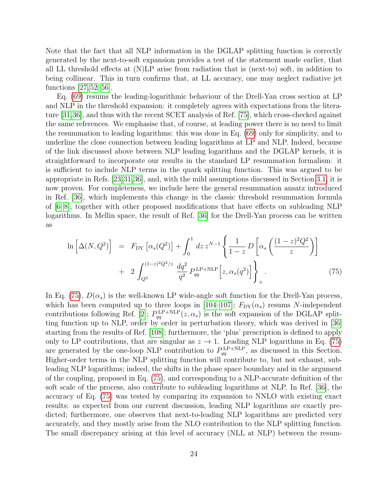Note that the fact that all NLP information in the DGLAP splitting function is correctly generated by the next-to-soft expansion provides a test of the statement made earlier, that all LL threshold effects at (N)LP arise from radiation that is (next-to) soft, in addition to being collinear. This in turn confirms that, at LL accuracy, one may neglect radiative jet functions [\[27,](#page-41-3) [52–](#page-42-7)[56\]](#page-43-1).

Eq. [\(69\)](#page-21-4) resums the leading-logarithmic behaviour of the Drell-Yan cross section at LP and NLP in the threshold expansion: it completely agrees with expectations from the literature [\[31,](#page-41-9)[36\]](#page-41-10), and thus with the recent SCET analysis of Ref. [\[75\]](#page-44-2), which cross-checked against the same references. We emphasise that, of course, at leading power there is no need to limit the resummation to leading logarithms: this was done in Eq. [\(69\)](#page-21-4) only for simplicity, and to underline the close connection between leading logarithms at LP and NLP. Indeed, because of the link discussed above between NLP leading logarithms and the DGLAP kernels, it is straightforward to incorporate our results in the standard LP resummation formalism: it is sufficient to include NLP terms in the quark splitting function. This was argued to be appropriate in Refs. [\[23,](#page-40-10)[31,](#page-41-9)[36\]](#page-41-10), and, with the mild assumptions discussed in Section [3.1,](#page-11-2) it is now proven. For completeness, we include here the general resummation ansatz introduced in Ref. [\[36\]](#page-41-10), which implements this change in the classic threshold resummation formula of [\[6](#page-39-5)[–8\]](#page-39-6), together with other proposed modifications that have effects on subleading NLP logarithms. In Mellin space, the result of Ref. [\[36\]](#page-41-10) for the Drell-Yan process can be written as

<span id="page-23-0"></span>
$$
\ln\left[\Delta(N, Q^2)\right] = F_{DY}\left[\alpha_s(Q^2)\right] + \int_0^1 dz \, z^{N-1} \left\{ \frac{1}{1-z} D\left[\alpha_s \left(\frac{(1-z)^2 Q^2}{z}\right)\right] + 2 \int_{Q^2}^{(1-z)^2 Q^2/z} \frac{dq^2}{q^2} P_{qq}^{\text{LP+NLP}}\left[z, \alpha_s(q^2)\right] \right\}_+ \tag{75}
$$

In Eq. [\(75\)](#page-23-0),  $D(\alpha_s)$  is the well-known LP wide-angle soft function for the Drell-Yan process, which has been computed up to three loops in [\[104](#page-46-5)[–107\]](#page-46-6);  $F_{DY}(\alpha_s)$  resums N-independent contributions following Ref. [\[2\]](#page-39-1);  $P_{qq}^{\text{LP+NLP}}(z,\alpha_s)$  is the soft expansion of the DGLAP splitting function up to NLP, order by order in perturbation theory, which was derived in [\[36\]](#page-41-10) starting from the results of Ref. [\[108\]](#page-46-7); furthermore, the 'plus' prescription is defined to apply only to LP contributions, that are singular as  $z \to 1$ . Leading NLP logarithms in Eq. [\(75\)](#page-23-0) are generated by the one-loop NLP contribution to  $P_{qq}^{\text{LP+NLP}}$ , as discussed in this Section. Higher-order terms in the NLP splitting function will contribute to, but not exhaust, subleading NLP logarithms; indeed, the shifts in the phase space boundary and in the argument of the coupling, proposed in Eq. [\(75\)](#page-23-0), and corresponding to a NLP-accurate definition of the soft scale of the process, also contribute to subleading logarithms at NLP. In Ref. [\[36\]](#page-41-10), the accuracy of Eq. [\(75\)](#page-23-0) was tested by comparing its expansion to NNLO with existing exact results: as expected from our current discussion, leading NLP logarithms are exactly predicted; furthermore, one observes that next-to-leading NLP logarithms are predicted very accurately, and they mostly arise from the NLO contribution to the NLP splitting function. The small discrepancy arising at this level of accuracy (NLL at NLP) between the resum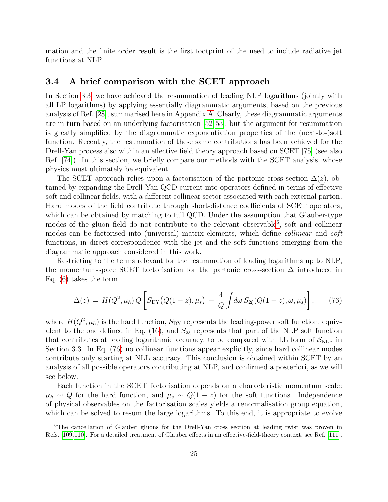mation and the finite order result is the first footprint of the need to include radiative jet functions at NLP.

### <span id="page-24-0"></span>3.4 A brief comparison with the SCET approach

In Section [3.3,](#page-19-0) we have achieved the resummation of leading NLP logarithms (jointly with all LP logarithms) by applying essentially diagrammatic arguments, based on the previous analysis of Ref. [\[28\]](#page-41-4), summarised here in Appendix [A.](#page-34-0) Clearly, these diagrammatic arguments are in turn based on an underlying factorisation [\[52,](#page-42-7)[53\]](#page-42-8), but the argument for resummation is greatly simplified by the diagrammatic exponentiation properties of the (next-to-)soft function. Recently, the resummation of these same contributions has been achieved for the Drell-Yan process also within an effective field theory approach based on SCET [\[75\]](#page-44-2) (see also Ref. [\[74\]](#page-44-1)). In this section, we briefly compare our methods with the SCET analysis, whose physics must ultimately be equivalent.

The SCET approach relies upon a factorisation of the partonic cross section  $\Delta(z)$ , obtained by expanding the Drell-Yan QCD current into operators defined in terms of effective soft and collinear fields, with a different collinear sector associated with each external parton. Hard modes of the field contribute through short-distance coefficients of SCET operators, which can be obtained by matching to full QCD. Under the assumption that Glauber-type modes of the gluon field do not contribute to the relevant observable<sup>[6](#page-24-1)</sup>, soft and collinear modes can be factorised into (universal) matrix elements, which define collinear and soft functions, in direct correspondence with the jet and the soft functions emerging from the diagrammatic approach considered in this work.

Restricting to the terms relevant for the resummation of leading logarithms up to NLP, the momentum-space SCET factorisation for the partonic cross-section  $\Delta$  introduced in Eq. [\(6\)](#page-5-2) takes the form

<span id="page-24-2"></span>
$$
\Delta(z) = H(Q^2, \mu_h) Q \left[ S_{\rm DY} (Q(1-z), \mu_s) - \frac{4}{Q} \int d\omega \, S_{2\xi} (Q(1-z), \omega, \mu_s) \right], \tag{76}
$$

where  $H(Q^2, \mu_h)$  is the hard function,  $S_{DY}$  represents the leading-power soft function, equiv-alent to the one defined in Eq. [\(16\)](#page-6-0), and  $S_{2\xi}$  represents that part of the NLP soft function that contributes at leading logarithmic accuracy, to be compared with LL form of  $S_{\text{NLP}}$  in Section [3.3.](#page-19-0) In Eq. [\(76\)](#page-24-2) no collinear functions appear explicitly, since hard collinear modes contribute only starting at NLL accuracy. This conclusion is obtained within SCET by an analysis of all possible operators contributing at NLP, and confirmed a posteriori, as we will see below.

Each function in the SCET factorisation depends on a characteristic momentum scale:  $\mu_h \sim Q$  for the hard function, and  $\mu_s \sim Q(1-z)$  for the soft functions. Independence of physical observables on the factorisation scales yields a renormalisation group equation, which can be solved to resum the large logarithms. To this end, it is appropriate to evolve

<span id="page-24-1"></span><sup>&</sup>lt;sup>6</sup>The cancellation of Glauber gluons for the Drell-Yan cross section at leading twist was proven in Refs. [\[109,](#page-46-8)[110\]](#page-46-9). For a detailed treatment of Glauber effects in an effective-field-theory context, see Ref. [\[111\]](#page-46-10).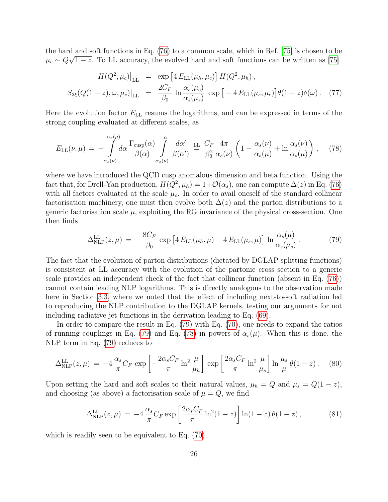the hard and soft functions in Eq. [\(76\)](#page-24-2) to a common scale, which in Ref. [\[75\]](#page-44-2) is chosen to be  $\mu_c \sim Q\sqrt{1-z}$ . To LL accuracy, the evolved hard and soft functions can be written as [\[75\]](#page-44-2)

$$
H(Q^2, \mu_c)\Big|_{\text{LL}} = \exp\left[4 E_{\text{LL}}(\mu_h, \mu_c)\right] H(Q^2, \mu_h),
$$
  

$$
S_{2\xi}(Q(1-z), \omega, \mu_c)\Big|_{\text{LL}} = \frac{2C_F}{\beta_0} \ln \frac{\alpha_s(\mu_c)}{\alpha_s(\mu_s)} \exp\left[-4 E_{\text{LL}}(\mu_s, \mu_c)\right] \theta(1-z) \delta(\omega). \quad (77)
$$

Here the evolution factor  $E_{LL}$  resums the logarithms, and can be expressed in terms of the strong coupling evaluated at different scales, as

<span id="page-25-1"></span>
$$
E_{\rm LL}(\nu,\mu) = -\int_{\alpha_s(\nu)}^{\alpha_s(\mu)} d\alpha \frac{\Gamma_{\rm cusp}(\alpha)}{\beta(\alpha)} \int_{\alpha_s(\nu)}^{\alpha} \frac{d\alpha'}{\beta(\alpha')} \stackrel{\rm LL}{=} \frac{C_F}{\beta_0^2} \frac{4\pi}{\alpha_s(\nu)} \left(1 - \frac{\alpha_s(\nu)}{\alpha_s(\mu)} + \ln \frac{\alpha_s(\nu)}{\alpha_s(\mu)}\right), \quad (78)
$$

where we have introduced the QCD cusp anomalous dimension and beta function. Using the fact that, for Drell-Yan production,  $H(Q^2, \mu_h) = 1 + \mathcal{O}(\alpha_s)$ , one can compute  $\Delta(z)$  in Eq. [\(76\)](#page-24-2) with all factors evaluated at the scale  $\mu_c$ . In order to avail oneself of the standard collinear factorisation machinery, one must then evolve both  $\Delta(z)$  and the parton distributions to a generic factorisation scale  $\mu$ , exploiting the RG invariance of the physical cross-section. One then finds

<span id="page-25-0"></span>
$$
\Delta_{\rm NLP}^{\rm LL}(z,\mu) = -\frac{8C_F}{\beta_0} \exp\left[4E_{\rm LL}(\mu_h,\mu) - 4E_{\rm LL}(\mu_s,\mu)\right] \ln \frac{\alpha_s(\mu)}{\alpha_s(\mu_s)}.
$$
(79)

The fact that the evolution of parton distributions (dictated by DGLAP splitting functions) is consistent at LL accuracy with the evolution of the partonic cross section to a generic scale provides an independent check of the fact that collinear function (absent in Eq. [\(76\)](#page-24-2)) cannot contain leading NLP logarithms. This is directly analogous to the observation made here in Section [3.3,](#page-19-0) where we noted that the effect of including next-to-soft radiation led to reproducing the NLP contribution to the DGLAP kernels, testing our arguments for not including radiative jet functions in the derivation leading to Eq. [\(69\)](#page-21-4).

In order to compare the result in Eq. [\(79\)](#page-25-0) with Eq. [\(70\)](#page-22-1), one needs to expand the ratios of running couplings in Eq. [\(79\)](#page-25-0) and Eq. [\(78\)](#page-25-1) in powers of  $\alpha_s(\mu)$ . When this is done, the NLP term in Eq. [\(79\)](#page-25-0) reduces to

$$
\Delta_{\rm NLP}^{\rm LL}(z,\mu) = -4\,\frac{\alpha_s}{\pi}C_F\,\exp\left[-\frac{2\alpha_s C_F}{\pi}\ln^2\frac{\mu}{\mu_h}\right]\,\exp\left[\frac{2\alpha_s C_F}{\pi}\ln^2\frac{\mu}{\mu_s}\right]\ln\frac{\mu_s}{\mu}\,\theta(1-z)\,. \tag{80}
$$

Upon setting the hard and soft scales to their natural values,  $\mu_h = Q$  and  $\mu_s = Q(1 - z)$ , and choosing (as above) a factorisation scale of  $\mu = Q$ , we find

$$
\Delta_{\rm NLP}^{\rm LL}(z,\mu) = -4 \frac{\alpha_s}{\pi} C_F \exp\left[\frac{2\alpha_s C_F}{\pi} \ln^2(1-z)\right] \ln(1-z) \theta(1-z) ,\qquad (81)
$$

which is readily seen to be equivalent to Eq. [\(70\)](#page-22-1).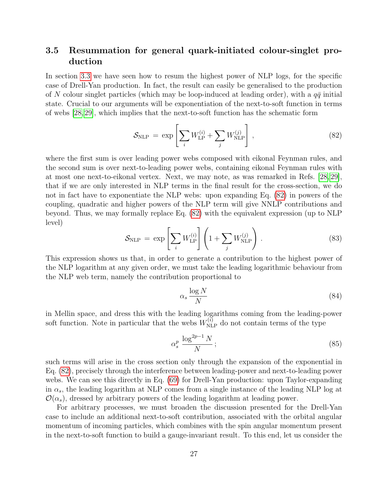### <span id="page-26-1"></span>3.5 Resummation for general quark-initiated colour-singlet production

In section [3.3](#page-19-0) we have seen how to resum the highest power of NLP logs, for the specific case of Drell-Yan production. In fact, the result can easily be generalised to the production of N colour singlet particles (which may be loop-induced at leading order), with a  $q\bar{q}$  initial state. Crucial to our arguments will be exponentiation of the next-to-soft function in terms of webs [\[28,](#page-41-4) [29\]](#page-41-5), which implies that the next-to-soft function has the schematic form

<span id="page-26-0"></span>
$$
\mathcal{S}_{\text{NLP}} = \exp\left[\sum_{i} W_{\text{LP}}^{(i)} + \sum_{j} W_{\text{NLP}}^{(j)}\right],\tag{82}
$$

where the first sum is over leading power webs composed with eikonal Feynman rules, and the second sum is over next-to-leading power webs, containing eikonal Feynman rules with at most one next-to-eikonal vertex. Next, we may note, as was remarked in Refs. [\[28,](#page-41-4) [29\]](#page-41-5), that if we are only interested in NLP terms in the final result for the cross-section, we do not in fact have to exponentiate the NLP webs: upon expanding Eq. [\(82\)](#page-26-0) in powers of the coupling, quadratic and higher powers of the NLP term will give NNLP contributions and beyond. Thus, we may formally replace Eq. [\(82\)](#page-26-0) with the equivalent expression (up to NLP level)

$$
S_{\text{NLP}} = \exp\left[\sum_{i} W_{\text{LP}}^{(i)}\right] \left(1 + \sum_{j} W_{\text{NLP}}^{(j)}\right). \tag{83}
$$

This expression shows us that, in order to generate a contribution to the highest power of the NLP logarithm at any given order, we must take the leading logarithmic behaviour from the NLP web term, namely the contribution proportional to

$$
\alpha_s \frac{\log N}{N} \tag{84}
$$

in Mellin space, and dress this with the leading logarithms coming from the leading-power soft function. Note in particular that the webs  $W_{\text{NLP}}^{(i)}$  do not contain terms of the type

$$
\alpha_s^p \frac{\log^{2p-1} N}{N};\tag{85}
$$

such terms will arise in the cross section only through the expansion of the exponential in Eq. [\(82\)](#page-26-0), precisely through the interference between leading-power and next-to-leading power webs. We can see this directly in Eq. [\(69\)](#page-21-4) for Drell-Yan production: upon Taylor-expanding in  $\alpha_s$ , the leading logarithm at NLP comes from a single instance of the leading NLP log at  $\mathcal{O}(\alpha_s)$ , dressed by arbitrary powers of the leading logarithm at leading power.

For arbitrary processes, we must broaden the discussion presented for the Drell-Yan case to include an additional next-to-soft contribution, associated with the orbital angular momentum of incoming particles, which combines with the spin angular momentum present in the next-to-soft function to build a gauge-invariant result. To this end, let us consider the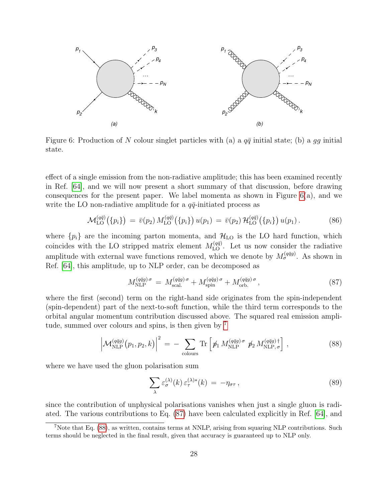

<span id="page-27-0"></span>Figure 6: Production of N colour singlet particles with (a) a  $q\bar{q}$  initial state; (b) a  $qq$  initial state.

effect of a single emission from the non-radiative amplitude; this has been examined recently in Ref. [\[64\]](#page-43-6), and we will now present a short summary of that discussion, before drawing consequences for the present paper. We label momenta as shown in Figure  $6(a)$ , and we write the LO non-radiative amplitude for a  $q\bar{q}$ -initiated process as

$$
\mathcal{M}_{\text{LO}}^{(q\bar{q})}(\{p_i\}) = \bar{v}(p_2) M_{\text{LO}}^{(q\bar{q})}(\{p_i\}) u(p_1) = \bar{v}(p_2) \mathcal{H}_{\text{LO}}^{(q\bar{q})}(\{p_i\}) u(p_1).
$$
 (86)

where  $\{p_i\}$  are the incoming parton momenta, and  $\mathcal{H}_{LO}$  is the LO hard function, which coincides with the LO stripped matrix element  $M_{\text{LO}}^{(q\bar{q})}$ . Let us now consider the radiative amplitude with external wave functions removed, which we denote by  $M_{\sigma}^{(q\bar{q}g)}$ . As shown in Ref. [\[64\]](#page-43-6), this amplitude, up to NLP order, can be decomposed as

<span id="page-27-2"></span>
$$
M_{\text{NLP}}^{(q\bar{q}g)\sigma} = M_{\text{scal.}}^{(q\bar{q}g)\sigma} + M_{\text{spin}}^{(q\bar{q}g)\sigma} + M_{\text{orb.}}^{(q\bar{q}g)\sigma}, \qquad (87)
$$

where the first (second) term on the right-hand side originates from the spin-independent (spin-dependent) part of the next-to-soft function, while the third term corresponds to the orbital angular momentum contribution discussed above. The squared real emission amplitude, summed over colours and spins, is then given by [7](#page-27-1)

<span id="page-27-3"></span>
$$
\left| \mathcal{M}_{\text{NLP}}^{(q\bar{q}g)}(p_1, p_2, k) \right|^2 = - \sum_{\text{colours}} \text{Tr} \left[ \not p_1 \, M_{\text{NLP}}^{(q\bar{q}g)\,\sigma} \not p_2 \, M_{\text{NLP},\,\sigma}^{(q\bar{q}g)\,\dagger} \right], \tag{88}
$$

where we have used the gluon polarisation sum

$$
\sum_{\lambda} \varepsilon_{\sigma}^{(\lambda)}(k) \, \varepsilon_{\tau}^{(\lambda)*}(k) \, = \, -\eta_{\sigma\tau} \,, \tag{89}
$$

since the contribution of unphysical polarisations vanishes when just a single gluon is radiated. The various contributions to Eq. [\(87\)](#page-27-2) have been calculated explicitly in Ref. [\[64\]](#page-43-6), and

<span id="page-27-1"></span><sup>7</sup>Note that Eq. [\(88\)](#page-27-3), as written, contains terms at NNLP, arising from squaring NLP contributions. Such terms should be neglected in the final result, given that accuracy is guaranteed up to NLP only.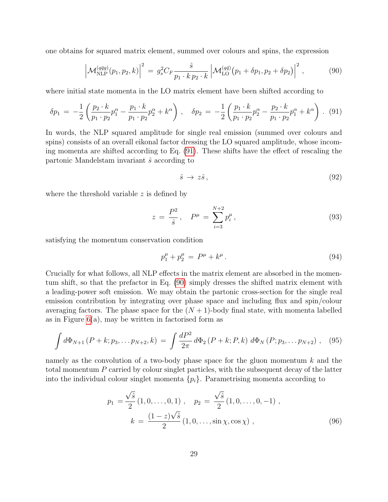one obtains for squared matrix element, summed over colours and spins, the expression

<span id="page-28-1"></span>
$$
\left| \mathcal{M}_{\text{NLP}}^{(q\bar{q}g)}(p_1, p_2, k) \right|^2 = g_s^2 C_F \frac{\hat{s}}{p_1 \cdot k \, p_2 \cdot k} \left| \mathcal{M}_{\text{LO}}^{(q\bar{q})}(p_1 + \delta p_1, p_2 + \delta p_2) \right|^2, \tag{90}
$$

where initial state momenta in the LO matrix element have been shifted according to

<span id="page-28-0"></span>
$$
\delta p_1 = -\frac{1}{2} \left( \frac{p_2 \cdot k}{p_1 \cdot p_2} p_1^{\alpha} - \frac{p_1 \cdot k}{p_1 \cdot p_2} p_2^{\alpha} + k^{\alpha} \right) , \quad \delta p_2 = -\frac{1}{2} \left( \frac{p_1 \cdot k}{p_1 \cdot p_2} p_2^{\alpha} - \frac{p_2 \cdot k}{p_1 \cdot p_2} p_1^{\alpha} + k^{\alpha} \right) . \tag{91}
$$

In words, the NLP squared amplitude for single real emission (summed over colours and spins) consists of an overall eikonal factor dressing the LO squared amplitude, whose incoming momenta are shifted according to Eq. [\(91\)](#page-28-0). These shifts have the effect of rescaling the partonic Mandelstam invariant  $\hat{s}$  according to

<span id="page-28-3"></span>
$$
\hat{s} \to z\hat{s}\,,\tag{92}
$$

where the threshold variable  $z$  is defined by

$$
z = \frac{P^2}{\hat{s}}, \quad P^{\mu} = \sum_{i=3}^{N+2} p_i^{\mu}, \tag{93}
$$

satisfying the momentum conservation condition

$$
p_1^{\mu} + p_2^{\mu} = P^{\mu} + k^{\mu}.
$$
 (94)

Crucially for what follows, all NLP effects in the matrix element are absorbed in the momentum shift, so that the prefactor in Eq. [\(90\)](#page-28-1) simply dresses the shifted matrix element with a leading-power soft emission. We may obtain the partonic cross-section for the single real emission contribution by integrating over phase space and including flux and spin/colour averaging factors. The phase space for the  $(N + 1)$ -body final state, with momenta labelled as in Figure  $6(a)$ , may be written in factorised form as

<span id="page-28-2"></span>
$$
\int d\Phi_{N+1} (P+k; p_3, \ldots p_{N+2}, k) = \int \frac{dP^2}{2\pi} d\Phi_2 (P+k; P, k) d\Phi_N (P; p_3, \ldots p_{N+2}), \quad (95)
$$

namely as the convolution of a two-body phase space for the gluon momentum  $k$  and the total momentum P carried by colour singlet particles, with the subsequent decay of the latter into the individual colour singlet momenta  $\{p_i\}$ . Parametrising momenta according to

$$
p_1 = \frac{\sqrt{\hat{s}}}{2} (1, 0, \dots, 0, 1) , \quad p_2 = \frac{\sqrt{\hat{s}}}{2} (1, 0, \dots, 0, -1) ,
$$

$$
k = \frac{(1-z)\sqrt{\hat{s}}}{2} (1, 0, \dots, \sin \chi, \cos \chi) , \quad (96)
$$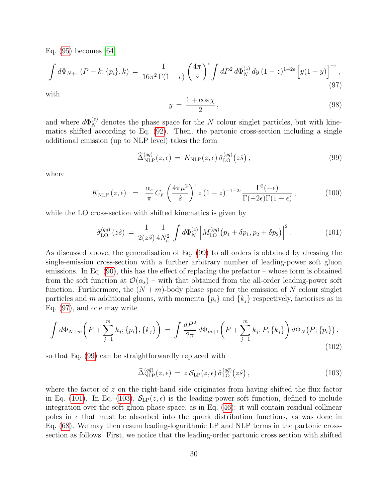Eq. [\(95\)](#page-28-2) becomes [\[64\]](#page-43-6)

<span id="page-29-1"></span>
$$
\int d\Phi_{N+1} (P+k; \{p_i\}, k) = \frac{1}{16\pi^2 \Gamma(1-\epsilon)} \left(\frac{4\pi}{\hat{s}}\right)^{\epsilon} \int dP^2 d\Phi_N^{(z)} dy \, (1-z)^{1-2\epsilon} \left[y(1-y)\right]^{-\epsilon},\tag{97}
$$

with

$$
y = \frac{1 + \cos \chi}{2},\tag{98}
$$

and where  $d\Phi_N^{(z)}$  denotes the phase space for the N colour singlet particles, but with kinematics shifted according to Eq. [\(92\)](#page-28-3). Then, the partonic cross-section including a single additional emission (up to NLP level) takes the form

<span id="page-29-0"></span>
$$
\widehat{\Delta}_{\text{NLP}}^{(q\bar{q})}(z,\epsilon) = K_{\text{NLP}}(z,\epsilon) \,\widehat{\sigma}_{\text{LO}}^{(q\bar{q})}(z\hat{s}),\tag{99}
$$

where

$$
K_{\rm NLP}(z,\epsilon) = \frac{\alpha_s}{\pi} C_F \left(\frac{4\pi\mu^2}{\hat{s}}\right)^{\epsilon} z (1-z)^{-1-2\epsilon} \frac{\Gamma^2(-\epsilon)}{\Gamma(-2\epsilon)\Gamma(1-\epsilon)}, \tag{100}
$$

while the LO cross-section with shifted kinematics is given by

<span id="page-29-2"></span>
$$
\hat{\sigma}_{\text{LO}}^{(q\bar{q})}(z\hat{s}) = \frac{1}{2(z\hat{s})} \frac{1}{4N_c^2} \int d\Phi_N^{(z)} \left| M_{\text{LO}}^{(q\bar{q})}(p_1 + \delta p_1, p_2 + \delta p_2) \right|^2. \tag{101}
$$

As discussed above, the generalisation of Eq. [\(99\)](#page-29-0) to all orders is obtained by dressing the single-emission cross-section with a further arbitrary number of leading-power soft gluon emissions. In Eq. [\(90\)](#page-28-1), this has the effect of replacing the prefactor – whose form is obtained from the soft function at  $\mathcal{O}(\alpha_s)$  – with that obtained from the all-order leading-power soft function. Furthermore, the  $(N + m)$ -body phase space for the emission of N colour singlet particles and m additional gluons, with momenta  $\{p_i\}$  and  $\{k_j\}$  respectively, factorises as in Eq. [\(97\)](#page-29-1), and one may write

$$
\int d\Phi_{N+m}\left(P+\sum_{j=1}^{m}k_j;\{p_i\},\{k_j\}\right) = \int \frac{dP^2}{2\pi}d\Phi_{m+1}\left(P+\sum_{j=1}^{m}k_j;P,\{k_j\}\right)d\Phi_N\left(P;\{p_i\}\right),\tag{102}
$$

so that Eq. [\(99\)](#page-29-0) can be straightforwardly replaced with

<span id="page-29-3"></span>
$$
\widehat{\Delta}_{\rm NLP}^{(q\bar{q})}(z,\epsilon) = z \,\mathcal{S}_{\rm LP}(z,\epsilon) \,\widehat{\sigma}_{\rm LO}^{(q\bar{q})}(z\hat{s})\,,\tag{103}
$$

where the factor of  $z$  on the right-hand side originates from having shifted the flux factor in Eq. [\(101\)](#page-29-2). In Eq. [\(103\)](#page-29-3),  $S_{LP}(z, \epsilon)$  is the leading-power soft function, defined to include integration over the soft gluon phase space, as in Eq. [\(46\)](#page-13-1): it will contain residual collinear poles in  $\epsilon$  that must be absorbed into the quark distribution functions, as was done in Eq. [\(68\)](#page-21-2). We may then resum leading-logarithmic LP and NLP terms in the partonic crosssection as follows. First, we notice that the leading-order partonic cross section with shifted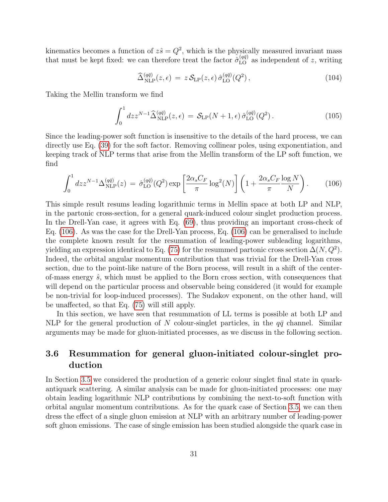kinematics becomes a function of  $z\hat{s} = Q^2$ , which is the physically measured invariant mass that must be kept fixed: we can therefore treat the factor  $\hat{\sigma}_{LO}^{(q\bar{q})}$  as independent of z, writing

$$
\widehat{\Delta}^{(q\bar{q})}_{\text{NLP}}(z,\epsilon) = z \,\mathcal{S}_{\text{LP}}(z,\epsilon) \,\widehat{\sigma}^{(q\bar{q})}_{\text{LO}}(Q^2) \,, \tag{104}
$$

Taking the Mellin transform we find

$$
\int_0^1 dz z^{N-1} \widehat{\Delta}_{\text{NLP}}^{(q\bar{q})}(z,\epsilon) = \mathcal{S}_{\text{LP}}(N+1,\epsilon) \,\widehat{\sigma}_{\text{LO}}^{(q\bar{q})}(Q^2) \,. \tag{105}
$$

Since the leading-power soft function is insensitive to the details of the hard process, we can directly use Eq. [\(39\)](#page-10-2) for the soft factor. Removing collinear poles, using exponentiation, and keeping track of NLP terms that arise from the Mellin transform of the LP soft function, we find

<span id="page-30-0"></span>
$$
\int_0^1 dz z^{N-1} \Delta_{\rm NLP}^{(q\bar{q})}(z) = \hat{\sigma}_{\rm LO}^{(q\bar{q})}(Q^2) \exp\left[\frac{2\alpha_s C_F}{\pi} \log^2(N)\right] \left(1 + \frac{2\alpha_s C_F}{\pi} \frac{\log N}{N}\right). \tag{106}
$$

This simple result resums leading logarithmic terms in Mellin space at both LP and NLP, in the partonic cross-section, for a general quark-induced colour singlet production process. In the Drell-Yan case, it agrees with Eq. [\(69\)](#page-21-4), thus providing an important cross-check of Eq. [\(106\)](#page-30-0). As was the case for the Drell-Yan process, Eq. [\(106\)](#page-30-0) can be generalised to include the complete known result for the resummation of leading-power subleading logarithms, yielding an expression identical to Eq. [\(75\)](#page-23-0) for the resummed partonic cross section  $\Delta(N,Q^2)$ . Indeed, the orbital angular momentum contribution that was trivial for the Drell-Yan cross section, due to the point-like nature of the Born process, will result in a shift of the centerof-mass energy  $\hat{s}$ , which must be applied to the Born cross section, with consequences that will depend on the particular process and observable being considered (it would for example be non-trivial for loop-induced processes). The Sudakov exponent, on the other hand, will be unaffected, so that Eq. [\(75\)](#page-23-0) will still apply.

In this section, we have seen that resummation of LL terms is possible at both LP and NLP for the general production of N colour-singlet particles, in the  $q\bar{q}$  channel. Similar arguments may be made for gluon-initiated processes, as we discuss in the following section.

## 3.6 Resummation for general gluon-initiated colour-singlet production

In Section [3.5](#page-26-1) we considered the production of a generic colour singlet final state in quarkantiquark scattering. A similar analysis can be made for gluon-initiated processes: one may obtain leading logarithmic NLP contributions by combining the next-to-soft function with orbital angular momentum contributions. As for the quark case of Section [3.5,](#page-26-1) we can then dress the effect of a single gluon emission at NLP with an arbitrary number of leading-power soft gluon emissions. The case of single emission has been studied alongside the quark case in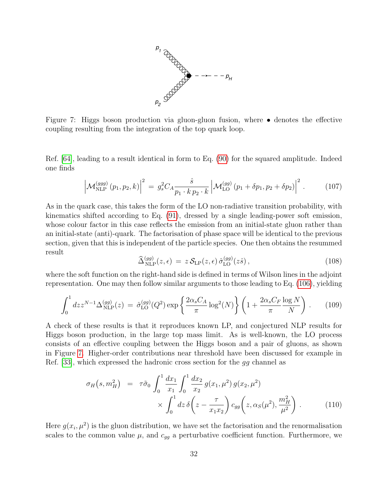

<span id="page-31-0"></span>Figure 7: Higgs boson production via gluon-gluon fusion, where  $\bullet$  denotes the effective coupling resulting from the integration of the top quark loop.

Ref. [\[64\]](#page-43-6), leading to a result identical in form to Eq. [\(90\)](#page-28-1) for the squared amplitude. Indeed one finds

$$
\left| \mathcal{M}_{\text{NLP}}^{(ggg)}(p_1, p_2, k) \right|^2 = g_s^2 C_A \frac{\hat{s}}{p_1 \cdot k \, p_2 \cdot k} \left| \mathcal{M}_{\text{LO}}^{(gg)}(p_1 + \delta p_1, p_2 + \delta p_2) \right|^2. \tag{107}
$$

As in the quark case, this takes the form of the LO non-radiative transition probability, with kinematics shifted according to Eq. [\(91\)](#page-28-0), dressed by a single leading-power soft emission, whose colour factor in this case reflects the emission from an initial-state gluon rather than an initial-state (anti)-quark. The factorisation of phase space will be identical to the previous section, given that this is independent of the particle species. One then obtains the resummed result

$$
\widehat{\Delta}_{\text{NLP}}^{(gg)}(z,\epsilon) = z \,\mathcal{S}_{\text{LP}}(z,\epsilon) \,\widehat{\sigma}_{\text{LO}}^{(gg)}(z\hat{s})\,,\tag{108}
$$

where the soft function on the right-hand side is defined in terms of Wilson lines in the adjoint representation. One may then follow similar arguments to those leading to Eq. [\(106\)](#page-30-0), yielding

<span id="page-31-1"></span>
$$
\int_0^1 dz z^{N-1} \Delta_{\rm NLP}^{(gg)}(z) = \hat{\sigma}_{\rm LO}^{(gg)}(Q^2) \exp\left\{\frac{2\alpha_s C_A}{\pi} \log^2(N)\right\} \left(1 + \frac{2\alpha_s C_F \log N}{\pi} \right) \,. \tag{109}
$$

A check of these results is that it reproduces known LP, and conjectured NLP results for Higgs boson production, in the large top mass limit. As is well-known, the LO process consists of an effective coupling between the Higgs boson and a pair of gluons, as shown in Figure [7.](#page-31-0) Higher-order contributions near threshold have been discussed for example in Ref. [\[33\]](#page-41-11), which expressed the hadronic cross section for the gg channel as

$$
\sigma_H(s, m_H^2) = \tau \tilde{\sigma}_0 \int_0^1 \frac{dx_1}{x_1} \int_0^1 \frac{dx_2}{x_2} g(x_1, \mu^2) g(x_2, \mu^2) \times \int_0^1 dz \, \delta\left(z - \frac{\tau}{x_1 x_2}\right) c_{gg} \left(z, \alpha_S(\mu^2), \frac{m_H^2}{\mu^2}\right). \tag{110}
$$

Here  $g(x_i, \mu^2)$  is the gluon distribution, we have set the factorisation and the renormalisation scales to the common value  $\mu$ , and  $c_{gg}$  a perturbative coefficient function. Furthermore, we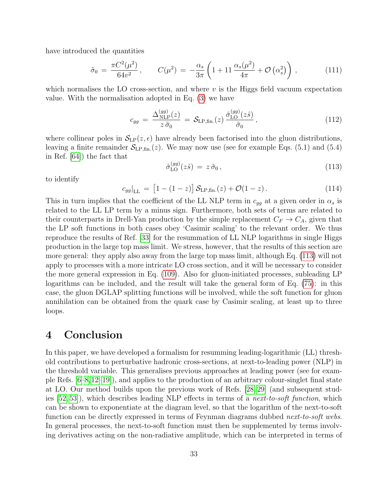have introduced the quantities

$$
\tilde{\sigma}_0 = \frac{\pi C^2(\mu^2)}{64v^2}, \qquad C(\mu^2) = -\frac{\alpha_s}{3\pi} \left( 1 + 11 \frac{\alpha_s(\mu^2)}{4\pi} + \mathcal{O}\left(\alpha_s^2\right) \right), \tag{111}
$$

which normalises the LO cross-section, and where  $v$  is the Higgs field vacuum expectation value. With the normalisation adopted in Eq. [\(3\)](#page-4-2) we have

$$
c_{gg} = \frac{\Delta_{\rm NLP}^{(gg)}(z)}{z \,\tilde{\sigma}_0} = \mathcal{S}_{\rm LP,fin.}(z) \frac{\hat{\sigma}_{\rm LO}^{(gg)}(z\hat{s})}{\tilde{\sigma}_0},\tag{112}
$$

where collinear poles in  $\mathcal{S}_{LP}(z, \epsilon)$  have already been factorised into the gluon distributions, leaving a finite remainder  $S_{\text{LP,fin.}}(z)$ . We may now use (see for example Eqs. (5.1) and (5.4) in Ref. [\[64\]](#page-43-6)) the fact that

<span id="page-32-1"></span>
$$
\hat{\sigma}_{\text{LO}}^{(gg)}(z\hat{s}) = z\,\tilde{\sigma}_0\,,\tag{113}
$$

to identify

$$
c_{gg}|_{\rm LL} = [1 - (1 - z)] \mathcal{S}_{\rm LP,fin.}(z) + \mathcal{O}(1 - z). \tag{114}
$$

This in turn implies that the coefficient of the LL NLP term in  $c_{gg}$  at a given order in  $\alpha_s$  is related to the LL LP term by a minus sign. Furthermore, both sets of terms are related to their counterparts in Drell-Yan production by the simple replacement  $C_F \rightarrow C_A$ , given that the LP soft functions in both cases obey 'Casimir scaling' to the relevant order. We thus reproduce the results of Ref. [\[33\]](#page-41-11) for the resummation of LL NLP logarithms in single Higgs production in the large top mass limit. We stress, however, that the results of this section are more general: they apply also away from the large top mass limit, although Eq. [\(113\)](#page-32-1) will not apply to processes with a more intricate LO cross section, and it will be necessary to consider the more general expression in Eq. [\(109\)](#page-31-1). Also for gluon-initiated processes, subleading LP logarithms can be included, and the result will take the general form of Eq. [\(75\)](#page-23-0): in this case, the gluon DGLAP splitting functions will be involved, while the soft function for gluon annihilation can be obtained from the quark case by Casimir scaling, at least up to three loops.

## <span id="page-32-0"></span>4 Conclusion

In this paper, we have developed a formalism for resumming leading-logarithmic (LL) threshold contributions to perturbative hadronic cross-sections, at next-to-leading power (NLP) in the threshold variable. This generalises previous approaches at leading power (see for example Refs. [\[6–](#page-39-5)[8,](#page-39-6)[12–](#page-40-2)[19\]](#page-40-7)), and applies to the production of an arbitrary colour-singlet final state at LO. Our method builds upon the previous work of Refs. [\[28,](#page-41-4) [29\]](#page-41-5) (and subsequent studies  $[52, 53]$  $[52, 53]$ , which describes leading NLP effects in terms of a *next-to-soft function*, which can be shown to exponentiate at the diagram level, so that the logarithm of the next-to-soft function can be directly expressed in terms of Feynman diagrams dubbed *next-to-soft webs.* In general processes, the next-to-soft function must then be supplemented by terms involving derivatives acting on the non-radiative amplitude, which can be interpreted in terms of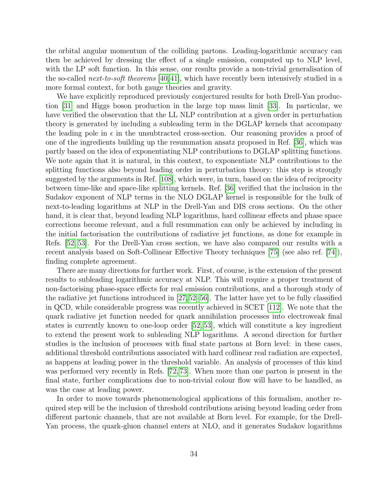the orbital angular momentum of the colliding partons. Leading-logarithmic accuracy can then be achieved by dressing the effect of a single emission, computed up to NLP level, with the LP soft function. In this sense, our results provide a non-trivial generalisation of the so-called *next-to-soft theorems* [\[40,](#page-42-1)[41\]](#page-42-2), which have recently been intensively studied in a more formal context, for both gauge theories and gravity.

We have explicitly reproduced previously conjectured results for both Drell-Yan production [\[31\]](#page-41-9) and Higgs boson production in the large top mass limit [\[33\]](#page-41-11). In particular, we have verified the observation that the LL NLP contribution at a given order in perturbation theory is generated by including a subleading term in the DGLAP kernels that accompany the leading pole in  $\epsilon$  in the unsubtracted cross-section. Our reasoning provides a proof of one of the ingredients building up the resummation ansatz proposed in Ref. [\[36\]](#page-41-10), which was partly based on the idea of exponentiating NLP contributions to DGLAP splitting functions. We note again that it is natural, in this context, to exponentiate NLP contributions to the splitting functions also beyond leading order in perturbation theory: this step is strongly suggested by the arguments in Ref. [\[108\]](#page-46-7), which were, in turn, based on the idea of reciprocity between time-like and space-like splitting kernels. Ref. [\[36\]](#page-41-10) verified that the inclusion in the Sudakov exponent of NLP terms in the NLO DGLAP kernel is responsible for the bulk of next-to-leading logarithms at NLP in the Drell-Yan and DIS cross sections. On the other hand, it is clear that, beyond leading NLP logarithms, hard collinear effects and phase space corrections become relevant, and a full resummation can only be achieved by including in the initial factorisation the contributions of radiative jet functions, as done for example in Refs. [\[52,](#page-42-7) [53\]](#page-42-8). For the Drell-Yan cross section, we have also compared our results with a recent analysis based on Soft-Collinear Effective Theory techniques [\[75\]](#page-44-2) (see also ref. [\[74\]](#page-44-1)), finding complete agreement.

There are many directions for further work. First, of course, is the extension of the present results to subleading logarithmic accuracy at NLP. This will require a proper treatment of non-factorising phase-space effects for real emission contributions, and a thorough study of the radiative jet functions introduced in [\[27,](#page-41-3)[52](#page-42-7)[–56\]](#page-43-1). The latter have yet to be fully classified in QCD, while considerable progress was recently achieved in SCET [\[112\]](#page-46-11). We note that the quark radiative jet function needed for quark annihilation processes into electroweak final states is currently known to one-loop order [\[52,](#page-42-7) [53\]](#page-42-8), which will constitute a key ingredient to extend the present work to subleading NLP logarithms. A second direction for further studies is the inclusion of processes with final state partons at Born level: in these cases, additional threshold contributions associated with hard collinear real radiation are expected, as happens at leading power in the threshold variable. An analysis of processes of this kind was performed very recently in Refs. [\[72,](#page-44-7) [73\]](#page-44-0). When more than one parton is present in the final state, further complications due to non-trivial colour flow will have to be handled, as was the case at leading power.

In order to move towards phenomenological applications of this formalism, another required step will be the inclusion of threshold contributions arising beyond leading order from different partonic channels, that are not available at Born level. For example, for the Drell-Yan process, the quark-gluon channel enters at NLO, and it generates Sudakov logarithms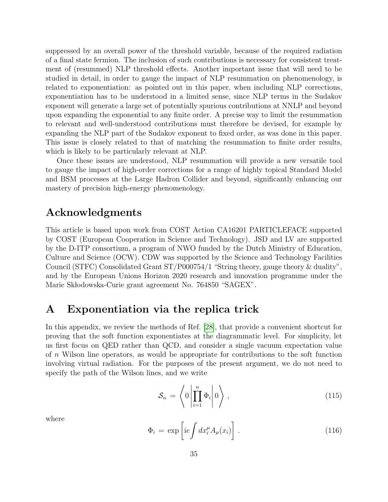suppressed by an overall power of the threshold variable, because of the required radiation of a final state fermion. The inclusion of such contributions is necessary for consistent treatment of (resummed) NLP threshold effects. Another important issue that will need to be studied in detail, in order to gauge the impact of NLP resummation on phenomenology, is related to exponentiation: as pointed out in this paper, when including NLP corrections, exponentiation has to be understood in a limited sense, since NLP terms in the Sudakov exponent will generate a large set of potentially spurious contributions at NNLP and beyond upon expanding the exponential to any finite order. A precise way to limit the resummation to relevant and well-understood contributions must therefore be devised, for example by expanding the NLP part of the Sudakov exponent to fixed order, as was done in this paper. This issue is closely related to that of matching the resummation to finite order results, which is likely to be particularly relevant at NLP.

Once these issues are understood, NLP resummation will provide a new versatile tool to gauge the impact of high-order corrections for a range of highly topical Standard Model and BSM processes at the Large Hadron Collider and beyond, significantly enhancing our mastery of precision high-energy phenomenology.

## Acknowledgments

This article is based upon work from COST Action CA16201 PARTICLEFACE supported by COST (European Cooperation in Science and Technology). JSD and LV are supported by the D-ITP consortium, a program of NWO funded by the Dutch Ministry of Education, Culture and Science (OCW). CDW was supported by the Science and Technology Facilities Council (STFC) Consolidated Grant ST/P000754/1 "String theory, gauge theory & duality", and by the European Unions Horizon 2020 research and innovation programme under the Marie Skłodowska-Curie grant agreement No. 764850 "SAGEX".

## <span id="page-34-0"></span>A Exponentiation via the replica trick

In this appendix, we review the methods of Ref. [\[28\]](#page-41-4), that provide a convenient shortcut for proving that the soft function exponentiates at the diagrammatic level. For simplicity, let us first focus on QED rather than QCD, and consider a single vacuum expectation value of n Wilson line operators, as would be appropriate for contributions to the soft function involving virtual radiation. For the purposes of the present argument, we do not need to specify the path of the Wilson lines, and we write

$$
\mathcal{S}_n = \left\langle 0 \left| \prod_{i=1}^n \Phi_i \right| 0 \right\rangle, \tag{115}
$$

where

$$
\Phi_i = \exp\left[ie \int dx_i^{\mu} A_{\mu}(x_i)\right]. \tag{116}
$$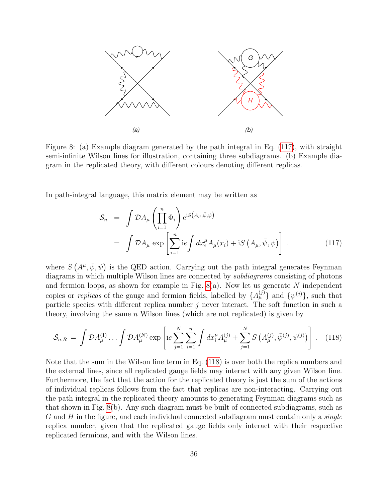

<span id="page-35-1"></span>Figure 8: (a) Example diagram generated by the path integral in Eq. [\(117\)](#page-35-0), with straight semi-infinite Wilson lines for illustration, containing three subdiagrams. (b) Example diagram in the replicated theory, with different colours denoting different replicas.

In path-integral language, this matrix element may be written as

<span id="page-35-0"></span>
$$
\mathcal{S}_n = \int \mathcal{D}A_\mu \left( \prod_{i=1}^n \Phi_i \right) e^{iS(A_\mu, \bar{\psi}, \psi)}
$$
  
= 
$$
\int \mathcal{D}A_\mu \exp \left[ \sum_{i=1}^n i e \int dx_i^\mu A_\mu(x_i) + iS(A_\mu, \bar{\psi}, \psi) \right].
$$
 (117)

where  $S(A^{\mu}, \bar{\psi}, \psi)$  is the QED action. Carrying out the path integral generates Feynman diagrams in which multiple Wilson lines are connected by *subdiagrams* consisting of photons and fermion loops, as shown for example in Fig.  $8(a)$ . Now let us generate N independent copies or *replicas* of the gauge and fermion fields, labelled by  $\{A_{\mu}^{(j)}\}$  and  $\{\psi^{(j)}\}$ , such that particle species with different replica number  $j$  never interact. The soft function in such a theory, involving the same  $n$  Wilson lines (which are not replicated) is given by

<span id="page-35-2"></span>
$$
S_{n,R} = \int \mathcal{D}A_{\mu}^{(1)} \dots \int \mathcal{D}A_{\mu}^{(N)} \exp\left[ie \sum_{j=1}^{N} \sum_{i=1}^{n} \int dx_{i}^{\mu} A_{\mu}^{(j)} + \sum_{j=1}^{N} S\left(A_{\mu}^{(j)}, \bar{\psi}^{(j)}, \psi^{(j)}\right)\right].
$$
 (118)

Note that the sum in the Wilson line term in Eq. [\(118\)](#page-35-2) is over both the replica numbers and the external lines, since all replicated gauge fields may interact with any given Wilson line. Furthermore, the fact that the action for the replicated theory is just the sum of the actions of individual replicas follows from the fact that replicas are non-interacting. Carrying out the path integral in the replicated theory amounts to generating Feynman diagrams such as that shown in Fig. [8\(](#page-35-1)b). Any such diagram must be built of connected subdiagrams, such as  $G$  and  $H$  in the figure, and each individual connected subdiagram must contain only a *single* replica number, given that the replicated gauge fields only interact with their respective replicated fermions, and with the Wilson lines.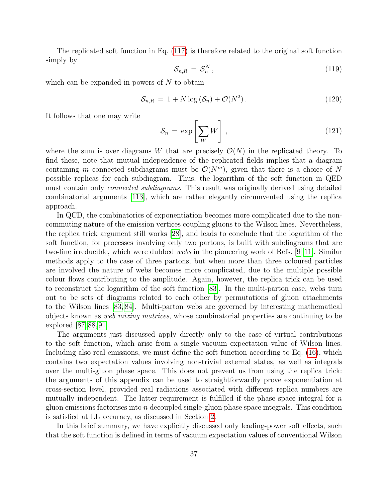The replicated soft function in Eq. [\(117\)](#page-35-0) is therefore related to the original soft function simply by

$$
\mathcal{S}_{n,R} = \mathcal{S}_n^N \,, \tag{119}
$$

which can be expanded in powers of  $N$  to obtain

$$
S_{n,R} = 1 + N \log \left( S_n \right) + \mathcal{O}(N^2). \tag{120}
$$

It follows that one may write

$$
\mathcal{S}_n = \exp\left[\sum_W W\right],\tag{121}
$$

where the sum is over diagrams W that are precisely  $\mathcal{O}(N)$  in the replicated theory. To find these, note that mutual independence of the replicated fields implies that a diagram containing m connected subdiagrams must be  $\mathcal{O}(N^m)$ , given that there is a choice of N possible replicas for each subdiagram. Thus, the logarithm of the soft function in QED must contain only *connected subdiagrams*. This result was originally derived using detailed combinatorial arguments [\[113\]](#page-47-0), which are rather elegantly circumvented using the replica approach.

In QCD, the combinatorics of exponentiation becomes more complicated due to the noncommuting nature of the emission vertices coupling gluons to the Wilson lines. Nevertheless, the replica trick argument still works [\[28\]](#page-41-4), and leads to conclude that the logarithm of the soft function, for processes involving only two partons, is built with subdiagrams that are two-line irreducible, which were dubbed webs in the pioneering work of Refs. [\[9](#page-40-0)[–11\]](#page-40-1). Similar methods apply to the case of three partons, but when more than three coloured particles are involved the nature of webs becomes more complicated, due to the multiple possible colour flows contributing to the amplitude. Again, however, the replica trick can be used to reconstruct the logarithm of the soft function [\[83\]](#page-45-1). In the multi-parton case, webs turn out to be sets of diagrams related to each other by permutations of gluon attachments to the Wilson lines [\[83,](#page-45-1) [84\]](#page-45-9). Multi-parton webs are governed by interesting mathematical objects known as web mixing matrices, whose combinatorial properties are continuing to be explored [\[87,](#page-45-10) [88,](#page-45-11) [91\]](#page-45-2).

The arguments just discussed apply directly only to the case of virtual contributions to the soft function, which arise from a single vacuum expectation value of Wilson lines. Including also real emissions, we must define the soft function according to Eq. [\(16\)](#page-6-0), which contains two expectation values involving non-trivial external states, as well as integrals over the multi-gluon phase space. This does not prevent us from using the replica trick: the arguments of this appendix can be used to straightforwardly prove exponentiation at cross-section level, provided real radiations associated with different replica numbers are mutually independent. The latter requirement is fulfilled if the phase space integral for  $n$ gluon emissions factorises into  $n$  decoupled single-gluon phase space integrals. This condition is satisfied at LL accuracy, as discussed in Section [2.](#page-4-0)

In this brief summary, we have explicitly discussed only leading-power soft effects, such that the soft function is defined in terms of vacuum expectation values of conventional Wilson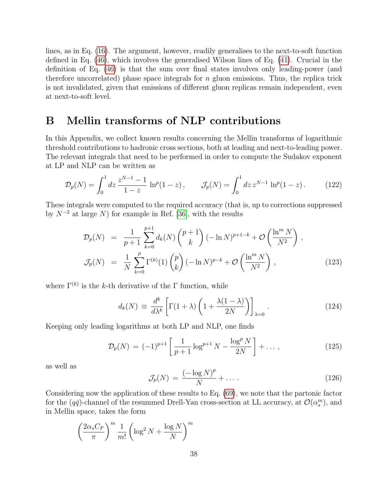lines, as in Eq. [\(16\)](#page-6-0). The argument, however, readily generalises to the next-to-soft function defined in Eq. [\(46\)](#page-13-1), which involves the generalised Wilson lines of Eq. [\(41\)](#page-11-1). Crucial in the definition of Eq. [\(46\)](#page-13-1) is that the sum over final states involves only leading-power (and therefore uncorrelated) phase space integrals for  $n$  gluon emissions. Thus, the replica trick is not invalidated, given that emissions of different gluon replicas remain independent, even at next-to-soft level.

# <span id="page-37-0"></span>B Mellin transforms of NLP contributions

In this Appendix, we collect known results concerning the Mellin transforms of logarithmic threshold contributions to hadronic cross sections, both at leading and next-to-leading power. The relevant integrals that need to be performed in order to compute the Sudakov exponent at LP and NLP can be written as

$$
\mathcal{D}_p(N) = \int_0^1 dz \, \frac{z^{N-1} - 1}{1 - z} \, \ln^p(1 - z) \, , \qquad \mathcal{J}_p(N) = \int_0^1 dz \, z^{N-1} \, \ln^p(1 - z) \, . \tag{122}
$$

These integrals were computed to the required accuracy (that is, up to corrections suppressed by  $N^{-2}$  at large N) for example in Ref. [\[36\]](#page-41-10), with the results

$$
\mathcal{D}_p(N) = \frac{1}{p+1} \sum_{k=0}^{p+1} d_k(N) {p+1 \choose k} (-\ln N)^{p+1-k} + \mathcal{O}\left(\frac{\ln^m N}{N^2}\right),
$$
  

$$
\mathcal{J}_p(N) = \frac{1}{N} \sum_{k=0}^p \Gamma^{(k)}(1) {p \choose k} (-\ln N)^{p-k} + \mathcal{O}\left(\frac{\ln^m N}{N^2}\right),
$$
(123)

where  $\Gamma^{(k)}$  is the k-th derivative of the  $\Gamma$  function, while

$$
d_k(N) \equiv \frac{d^k}{d\lambda^k} \left[ \Gamma(1+\lambda) \left( 1 + \frac{\lambda(1-\lambda)}{2N} \right) \right]_{\lambda=0} . \tag{124}
$$

Keeping only leading logarithms at both LP and NLP, one finds

<span id="page-37-1"></span>
$$
\mathcal{D}_p(N) = (-1)^{p+1} \left[ \frac{1}{p+1} \log^{p+1} N - \frac{\log^p N}{2N} \right] + \dots, \tag{125}
$$

as well as

<span id="page-37-2"></span>
$$
\mathcal{J}_p(N) = \frac{(-\log N)^p}{N} + \dots \tag{126}
$$

Considering now the application of these results to Eq. [\(69\)](#page-21-4), we note that the partonic factor for the  $(q\bar{q})$ -channel of the resummed Drell-Yan cross-section at LL accuracy, at  $\mathcal{O}(\alpha_s^m)$ , and in Mellin space, takes the form

$$
\left(\frac{2\alpha_s C_F}{\pi}\right)^m \frac{1}{m!} \left(\log^2 N + \frac{\log N}{N}\right)^m
$$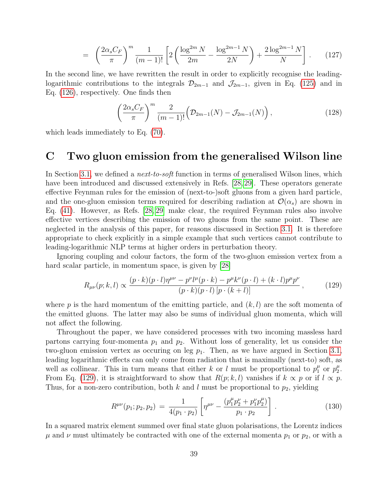$$
= \left(\frac{2\alpha_s C_F}{\pi}\right)^m \frac{1}{(m-1)!} \left[2\left(\frac{\log^{2m} N}{2m} - \frac{\log^{2m-1} N}{2N}\right) + \frac{2\log^{2m-1} N}{N}\right].
$$
 (127)

In the second line, we have rewritten the result in order to explicitly recognise the leadinglogarithmic contributions to the integrals  $\mathcal{D}_{2m-1}$  and  $\mathcal{J}_{2m-1}$ , given in Eq. [\(125\)](#page-37-1) and in Eq. [\(126\)](#page-37-2), respectively. One finds then

$$
\left(\frac{2\alpha_s C_F}{\pi}\right)^m \frac{2}{(m-1)!} \left(\mathcal{D}_{2m-1}(N) - \mathcal{J}_{2m-1}(N)\right),\tag{128}
$$

which leads immediately to Eq. [\(70\)](#page-22-1).

## C Two gluon emission from the generalised Wilson line

In Section [3.1,](#page-11-2) we defined a *next-to-soft* function in terms of generalised Wilson lines, which have been introduced and discussed extensively in Refs. [\[28,](#page-41-4) [29\]](#page-41-5). These operators generate effective Feynman rules for the emission of (next-to-)soft gluons from a given hard particle, and the one-gluon emission terms required for describing radiation at  $\mathcal{O}(\alpha_s)$  are shown in Eq. [\(41\)](#page-11-1). However, as Refs. [\[28,](#page-41-4) [29\]](#page-41-5) make clear, the required Feynman rules also involve effective vertices describing the emission of two gluons from the same point. These are neglected in the analysis of this paper, for reasons discussed in Section [3.1.](#page-11-2) It is therefore appropriate to check explicitly in a simple example that such vertices cannot contribute to leading-logarithmic NLP terms at higher orders in perturbation theory.

Ignoring coupling and colour factors, the form of the two-gluon emission vertex from a hard scalar particle, in momentum space, is given by [\[28\]](#page-41-4)

<span id="page-38-0"></span>
$$
R_{\mu\nu}(p;k,l) \propto \frac{(p \cdot k)(p \cdot l)\eta^{\mu\nu} - p^{\nu}l^{\mu}(p \cdot k) - p^{\mu}k^{\nu}(p \cdot l) + (k \cdot l)p^{\mu}p^{\nu}}{(p \cdot k)(p \cdot l)[p \cdot (k+l)]},
$$
\n(129)

where p is the hard momentum of the emitting particle, and  $(k, l)$  are the soft momenta of the emitted gluons. The latter may also be sums of individual gluon momenta, which will not affect the following.

Throughout the paper, we have considered processes with two incoming massless hard partons carrying four-momenta  $p_1$  and  $p_2$ . Without loss of generality, let us consider the two-gluon emission vertex as occuring on leg  $p_1$ . Then, as we have argued in Section [3.1,](#page-11-2) leading logarithmic effects can only come from radiation that is maximally (next-to) soft, as well as collinear. This in turn means that either k or l must be proportional to  $p_1^{\mu}$  $\frac{\mu}{1}$  or  $p_2^{\mu}$  $\frac{\mu}{2}$ . From Eq. [\(129\)](#page-38-0), it is straightforward to show that  $R(p; k, l)$  vanishes if  $k \propto p$  or if  $l \propto p$ . Thus, for a non-zero contribution, both  $k$  and  $l$  must be proportional to  $p_2$ , yielding

<span id="page-38-1"></span>
$$
R^{\mu\nu}(p_1; p_2, p_2) = \frac{1}{4(p_1 \cdot p_2)} \left[ \eta^{\mu\nu} - \frac{(p_1^{\mu} p_2^{\nu} + p_1^{\nu} p_2^{\mu})}{p_1 \cdot p_2} \right]. \tag{130}
$$

In a squared matrix element summed over final state gluon polarisations, the Lorentz indices  $\mu$  and  $\nu$  must ultimately be contracted with one of the external momenta  $p_1$  or  $p_2$ , or with a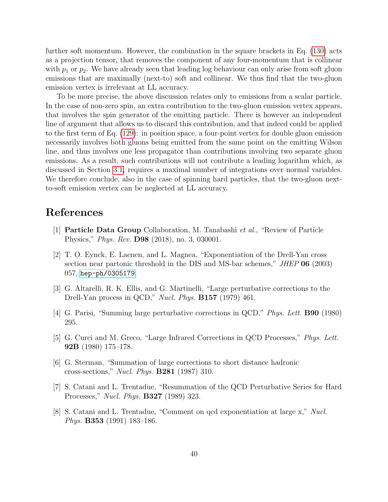further soft momentum. However, the combination in the square brackets in Eq. [\(130\)](#page-38-1) acts as a projection tensor, that removes the component of any four-momentum that is collinear with  $p_1$  or  $p_2$ . We have already seen that leading log behaviour can only arise from soft gluon emissions that are maximally (next-to) soft and collinear. We thus find that the two-gluon emission vertex is irrelevant at LL accuracy.

To be more precise, the above discussion relates only to emissions from a scalar particle. In the case of non-zero spin, an extra contribution to the two-gluon emission vertex appears, that involves the spin generator of the emitting particle. There is however an independent line of argument that allows us to discard this contribution, and that indeed could be applied to the first term of Eq. [\(129\)](#page-38-0): in position space, a four-point vertex for double gluon emission necessarily involves both gluons being emitted from the same point on the emitting Wilson line, and thus involves one less propagator than contributions involving two separate gluon emissions. As a result, such contributions will not contribute a leading logarithm which, as discussed in Section [3.1,](#page-11-2) requires a maximal number of integrations over normal variables. We therefore conclude, also in the case of spinning hard particles, that the two-gluon nextto-soft emission vertex can be neglected at LL accuracy.

## References

- <span id="page-39-0"></span>[1] Particle Data Group Collaboration, M. Tanabashi et al., "Review of Particle Physics," Phys. Rev. D98 (2018), no. 3, 030001.
- <span id="page-39-1"></span>[2] T. O. Eynck, E. Laenen, and L. Magnea, "Exponentiation of the Drell-Yan cross section near partonic threshold in the DIS and MS-bar schemes," JHEP 06 (2003) 057, [hep-ph/0305179](http://www.arXiv.org/abs/hep-ph/0305179).
- <span id="page-39-2"></span>[3] G. Altarelli, R. K. Ellis, and G. Martinelli, "Large perturbative corrections to the Drell-Yan process in QCD," *Nucl. Phys.* **B157** (1979) 461.
- <span id="page-39-3"></span>[4] G. Parisi, "Summing large perturbative corrections in QCD," Phys. Lett. B90 (1980) 295.
- <span id="page-39-4"></span>[5] G. Curci and M. Greco, "Large Infrared Corrections in QCD Processes," Phys. Lett. 92B (1980) 175–178.
- <span id="page-39-5"></span>[6] G. Sterman, "Summation of large corrections to short distance hadronic cross-sections," Nucl. Phys. B281 (1987) 310.
- <span id="page-39-7"></span>[7] S. Catani and L. Trentadue, "Resummation of the QCD Perturbative Series for Hard Processes," Nucl. Phys. B327 (1989) 323.
- <span id="page-39-6"></span>[8] S. Catani and L. Trentadue, "Comment on qcd exponentiation at large x," Nucl. Phys. B353 (1991) 183–186.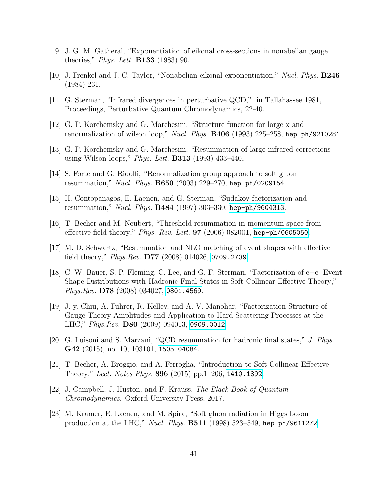- <span id="page-40-0"></span>[9] J. G. M. Gatheral, "Exponentiation of eikonal cross-sections in nonabelian gauge theories," Phys. Lett. B133 (1983) 90.
- [10] J. Frenkel and J. C. Taylor, "Nonabelian eikonal exponentiation," Nucl. Phys. B246 (1984) 231.
- <span id="page-40-1"></span>[11] G. Sterman, "Infrared divergences in perturbative QCD,". in Tallahassee 1981, Proceedings, Perturbative Quantum Chromodynamics, 22-40.
- <span id="page-40-2"></span>[12] G. P. Korchemsky and G. Marchesini, "Structure function for large x and renormalization of wilson loop," Nucl. Phys.  $B406$  (1993) 225–258, [hep-ph/9210281](http://www.arXiv.org/abs/hep-ph/9210281).
- <span id="page-40-3"></span>[13] G. P. Korchemsky and G. Marchesini, "Resummation of large infrared corrections using Wilson loops," *Phys. Lett.* **B313** (1993) 433–440.
- <span id="page-40-4"></span>[14] S. Forte and G. Ridolfi, "Renormalization group approach to soft gluon resummation," Nucl. Phys. B650 (2003) 229–270, [hep-ph/0209154](http://www.arXiv.org/abs/hep-ph/0209154).
- <span id="page-40-5"></span>[15] H. Contopanagos, E. Laenen, and G. Sterman, "Sudakov factorization and resummation," Nucl. Phys. B484 (1997) 303–330, [hep-ph/9604313](http://www.arXiv.org/abs/hep-ph/9604313).
- <span id="page-40-6"></span>[16] T. Becher and M. Neubert, "Threshold resummation in momentum space from effective field theory," *Phys. Rev. Lett.* **97** (2006) 082001, [hep-ph/0605050](http://www.arXiv.org/abs/hep-ph/0605050).
- [17] M. D. Schwartz, "Resummation and NLO matching of event shapes with effective field theory," *Phys.Rev.* **D77** (2008) 014026, [0709.2709](http://www.arXiv.org/abs/0709.2709).
- [18] C. W. Bauer, S. P. Fleming, C. Lee, and G. F. Sterman, "Factorization of e+e- Event Shape Distributions with Hadronic Final States in Soft Collinear Effective Theory," Phys.Rev. **D78** (2008) 034027, [0801.4569](http://www.arXiv.org/abs/0801.4569).
- <span id="page-40-7"></span>[19] J.-y. Chiu, A. Fuhrer, R. Kelley, and A. V. Manohar, "Factorization Structure of Gauge Theory Amplitudes and Application to Hard Scattering Processes at the LHC," Phys.Rev. D80 (2009) 094013, [0909.0012](http://www.arXiv.org/abs/0909.0012).
- <span id="page-40-8"></span>[20] G. Luisoni and S. Marzani, "QCD resummation for hadronic final states," J. Phys. G42 (2015), no. 10, 103101, [1505.04084](http://www.arXiv.org/abs/1505.04084).
- [21] T. Becher, A. Broggio, and A. Ferroglia, "Introduction to Soft-Collinear Effective Theory," Lect. Notes Phys. 896 (2015) pp. 1–206, 1410. 1892.
- <span id="page-40-9"></span>[22] J. Campbell, J. Huston, and F. Krauss, The Black Book of Quantum Chromodynamics. Oxford University Press, 2017.
- <span id="page-40-10"></span>[23] M. Kramer, E. Laenen, and M. Spira, "Soft gluon radiation in Higgs boson production at the LHC," *Nucl. Phys.*  $B511$  (1998) 523–549, [hep-ph/9611272](http://www.arXiv.org/abs/hep-ph/9611272).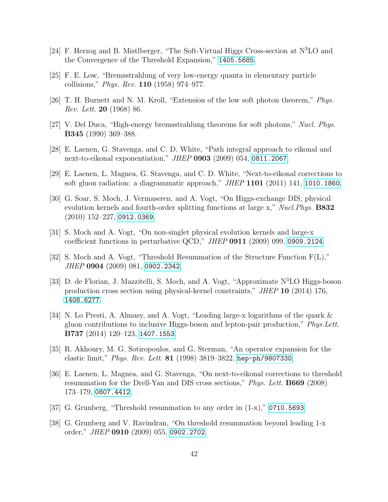- <span id="page-41-0"></span>[24] F. Herzog and B. Mistlberger, "The Soft-Virtual Higgs Cross-section at N<sup>3</sup>LO and the Convergence of the Threshold Expansion," [1405.5685](http://www.arXiv.org/abs/1405.5685).
- <span id="page-41-1"></span>[25] F. E. Low, "Bremsstrahlung of very low-energy quanta in elementary particle collisions," Phys. Rev. 110 (1958) 974–977.
- <span id="page-41-2"></span>[26] T. H. Burnett and N. M. Kroll, "Extension of the low soft photon theorem," Phys. Rev. Lett. 20 (1968) 86.
- <span id="page-41-3"></span>[27] V. Del Duca, "High-energy bremsstrahlung theorems for soft photons," Nucl. Phys. B345 (1990) 369–388.
- <span id="page-41-4"></span>[28] E. Laenen, G. Stavenga, and C. D. White, "Path integral approach to eikonal and next-to-eikonal exponentiation," JHEP 0903 (2009) 054, [0811.2067](http://www.arXiv.org/abs/0811.2067).
- <span id="page-41-5"></span>[29] E. Laenen, L. Magnea, G. Stavenga, and C. D. White, "Next-to-eikonal corrections to soft gluon radiation: a diagrammatic approach," JHEP  $1101$  (2011) 141, [1010.1860](http://www.arXiv.org/abs/1010.1860).
- <span id="page-41-6"></span>[30] G. Soar, S. Moch, J. Vermaseren, and A. Vogt, "On Higgs-exchange DIS, physical evolution kernels and fourth-order splitting functions at large x,"  $Nucl. Phys.$  **B832** (2010) 152–227, [0912.0369](http://www.arXiv.org/abs/0912.0369).
- <span id="page-41-9"></span>[31] S. Moch and A. Vogt, "On non-singlet physical evolution kernels and large-x coefficient functions in perturbative QCD," JHEP 0911 (2009) 099, [0909.2124](http://www.arXiv.org/abs/0909.2124).
- [32] S. Moch and A. Vogt, "Threshold Resummation of the Structure Function F(L)," JHEP 0904 (2009) 081, [0902.2342](http://www.arXiv.org/abs/0902.2342).
- <span id="page-41-11"></span>[33] D. de Florian, J. Mazzitelli, S. Moch, and A. Vogt, "Approximate N<sup>3</sup>LO Higgs-boson production cross section using physical-kernel constraints," JHEP 10 (2014) 176, [1408.6277](http://www.arXiv.org/abs/1408.6277).
- <span id="page-41-7"></span>[34] N. Lo Presti, A. Almasy, and A. Vogt, "Leading large-x logarithms of the quark & gluon contributions to inclusive Higgs-boson and lepton-pair production," Phys.Lett. B737 (2014) 120–123, [1407.1553](http://www.arXiv.org/abs/1407.1553).
- <span id="page-41-8"></span>[35] R. Akhoury, M. G. Sotiropoulos, and G. Sterman, "An operator expansion for the elastic limit," Phys. Rev. Lett. 81 (1998) 3819–3822, [hep-ph/9807330](http://arXiv.org/abs/hep-ph/9807330).
- <span id="page-41-10"></span>[36] E. Laenen, L. Magnea, and G. Stavenga, "On next-to-eikonal corrections to threshold resummation for the Drell-Yan and DIS cross sections," Phys. Lett. B669 (2008) 173–179, [0807.4412](http://www.arXiv.org/abs/0807.4412).
- [37] G. Grunberg, "Threshold resummation to any order in  $(1-x)$ ," [0710.5693](http://www.arXiv.org/abs/0710.5693).
- [38] G. Grunberg and V. Ravindran, "On threshold resummation beyond leading 1-x order," JHEP 0910 (2009) 055, [0902.2702](http://www.arXiv.org/abs/0902.2702).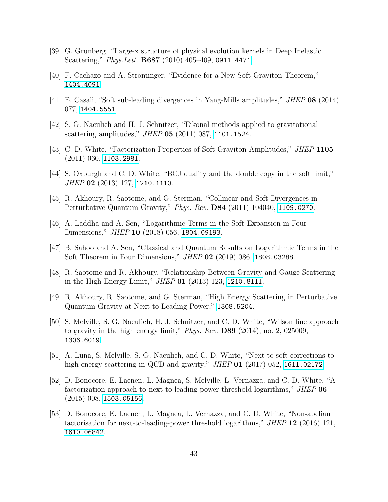- <span id="page-42-0"></span>[39] G. Grunberg, "Large-x structure of physical evolution kernels in Deep Inelastic Scattering," Phys.Lett. B687 (2010) 405–409, [0911.4471](http://www.arXiv.org/abs/0911.4471).
- <span id="page-42-1"></span>[40] F. Cachazo and A. Strominger, "Evidence for a New Soft Graviton Theorem," [1404.4091](http://www.arXiv.org/abs/1404.4091).
- <span id="page-42-2"></span>[41] E. Casali, "Soft sub-leading divergences in Yang-Mills amplitudes," JHEP 08 (2014) 077, [1404.5551](http://www.arXiv.org/abs/1404.5551).
- <span id="page-42-3"></span>[42] S. G. Naculich and H. J. Schnitzer, "Eikonal methods applied to gravitational scattering amplitudes," JHEP 05 (2011) 087, [1101.1524](http://www.arXiv.org/abs/1101.1524).
- [43] C. D. White, "Factorization Properties of Soft Graviton Amplitudes," JHEP 1105 (2011) 060, [1103.2981](http://www.arXiv.org/abs/1103.2981).
- [44] S. Oxburgh and C. D. White, "BCJ duality and the double copy in the soft limit," JHEP 02 (2013) 127, [1210.1110](http://www.arXiv.org/abs/1210.1110).
- [45] R. Akhoury, R. Saotome, and G. Sterman, "Collinear and Soft Divergences in Perturbative Quantum Gravity," Phys. Rev. D84 (2011) 104040, [1109.0270](http://www.arXiv.org/abs/1109.0270).
- [46] A. Laddha and A. Sen, "Logarithmic Terms in the Soft Expansion in Four Dimensions," *JHEP* **10** (2018) 056, **[1804.09193](http://www.arXiv.org/abs/1804.09193)**.
- <span id="page-42-4"></span>[47] B. Sahoo and A. Sen, "Classical and Quantum Results on Logarithmic Terms in the Soft Theorem in Four Dimensions," JHEP 02 (2019) 086, [1808.03288](http://www.arXiv.org/abs/1808.03288).
- <span id="page-42-5"></span>[48] R. Saotome and R. Akhoury, "Relationship Between Gravity and Gauge Scattering in the High Energy Limit," JHEP 01 (2013) 123, [1210.8111](http://www.arXiv.org/abs/1210.8111).
- [49] R. Akhoury, R. Saotome, and G. Sterman, "High Energy Scattering in Perturbative Quantum Gravity at Next to Leading Power," [1308.5204](http://www.arXiv.org/abs/1308.5204).
- [50] S. Melville, S. G. Naculich, H. J. Schnitzer, and C. D. White, "Wilson line approach to gravity in the high energy limit," Phys. Rev.  $D89$  (2014), no. 2, 025009, [1306.6019](http://www.arXiv.org/abs/1306.6019).
- <span id="page-42-6"></span>[51] A. Luna, S. Melville, S. G. Naculich, and C. D. White, "Next-to-soft corrections to high energy scattering in QCD and gravity," JHEP 01 (2017) 052, [1611.02172](http://www.arXiv.org/abs/1611.02172).
- <span id="page-42-7"></span>[52] D. Bonocore, E. Laenen, L. Magnea, S. Melville, L. Vernazza, and C. D. White, "A factorization approach to next-to-leading-power threshold logarithms," JHEP 06 (2015) 008, [1503.05156](http://www.arXiv.org/abs/1503.05156).
- <span id="page-42-8"></span>[53] D. Bonocore, E. Laenen, L. Magnea, L. Vernazza, and C. D. White, "Non-abelian factorisation for next-to-leading-power threshold logarithms," JHEP 12 (2016) 121, [1610.06842](http://www.arXiv.org/abs/1610.06842).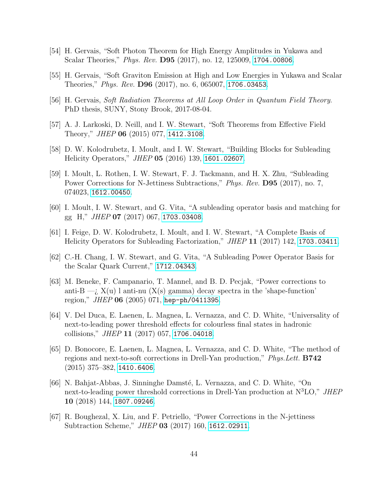- <span id="page-43-0"></span>[54] H. Gervais, "Soft Photon Theorem for High Energy Amplitudes in Yukawa and Scalar Theories," *Phys. Rev.* **D95** (2017), no. 12, 125009, [1704.00806](http://www.arXiv.org/abs/1704.00806).
- [55] H. Gervais, "Soft Graviton Emission at High and Low Energies in Yukawa and Scalar Theories," Phys. Rev. D96 (2017), no. 6, 065007, [1706.03453](http://www.arXiv.org/abs/1706.03453).
- <span id="page-43-1"></span>[56] H. Gervais, Soft Radiation Theorems at All Loop Order in Quantum Field Theory. PhD thesis, SUNY, Stony Brook, 2017-08-04.
- <span id="page-43-2"></span>[57] A. J. Larkoski, D. Neill, and I. W. Stewart, "Soft Theorems from Effective Field Theory," *JHEP* **06** (2015) 077, [1412.3108](http://www.arXiv.org/abs/1412.3108).
- [58] D. W. Kolodrubetz, I. Moult, and I. W. Stewart, "Building Blocks for Subleading Helicity Operators," JHEP 05 (2016) 139, [1601.02607](http://www.arXiv.org/abs/1601.02607).
- <span id="page-43-5"></span>[59] I. Moult, L. Rothen, I. W. Stewart, F. J. Tackmann, and H. X. Zhu, "Subleading Power Corrections for N-Jettiness Subtractions," *Phys. Rev.* **D95** (2017), no. 7, 074023, [1612.00450](http://www.arXiv.org/abs/1612.00450).
- [60] I. Moult, I. W. Stewart, and G. Vita, "A subleading operator basis and matching for gg H," JHEP 07 (2017) 067, [1703.03408](http://www.arXiv.org/abs/1703.03408).
- [61] I. Feige, D. W. Kolodrubetz, I. Moult, and I. W. Stewart, "A Complete Basis of Helicity Operators for Subleading Factorization," JHEP 11 (2017) 142, [1703.03411](http://www.arXiv.org/abs/1703.03411).
- <span id="page-43-3"></span>[62] C.-H. Chang, I. W. Stewart, and G. Vita, "A Subleading Power Operator Basis for the Scalar Quark Current," [1712.04343](http://www.arXiv.org/abs/1712.04343).
- <span id="page-43-4"></span>[63] M. Beneke, F. Campanario, T. Mannel, and B. D. Pecjak, "Power corrections to anti-B  $\rightarrow$ ;  $X(u)$  l anti-nu  $(X(s)$  gamma) decay spectra in the 'shape-function' region," JHEP 06 (2005) 071, [hep-ph/0411395](http://www.arXiv.org/abs/hep-ph/0411395).
- <span id="page-43-6"></span>[64] V. Del Duca, E. Laenen, L. Magnea, L. Vernazza, and C. D. White, "Universality of next-to-leading power threshold effects for colourless final states in hadronic collisions," *JHEP* 11 (2017) 057, [1706.04018](http://www.arXiv.org/abs/1706.04018).
- <span id="page-43-8"></span>[65] D. Bonocore, E. Laenen, L. Magnea, L. Vernazza, and C. D. White, "The method of regions and next-to-soft corrections in Drell-Yan production," Phys.Lett. B742  $(2015)$  375–382, [1410.6406](http://www.arXiv.org/abs/1410.6406).
- <span id="page-43-9"></span>[66] N. Bahjat-Abbas, J. Sinninghe Damsté, L. Vernazza, and C. D. White, "On next-to-leading power threshold corrections in Drell-Yan production at  $N<sup>3</sup>LO$ ," JHEP 10 (2018) 144, [1807.09246](http://www.arXiv.org/abs/1807.09246).
- <span id="page-43-7"></span>[67] R. Boughezal, X. Liu, and F. Petriello, "Power Corrections in the N-jettiness Subtraction Scheme," JHEP 03 (2017) 160, [1612.02911](http://www.arXiv.org/abs/1612.02911).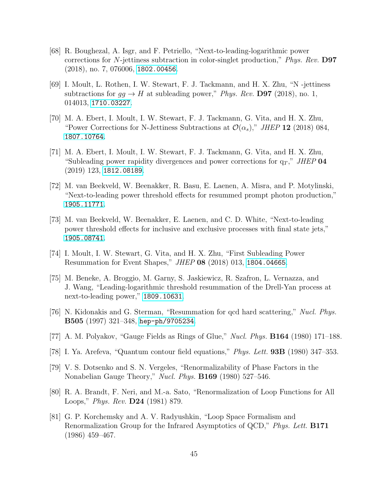- [68] R. Boughezal, A. Isgr, and F. Petriello, "Next-to-leading-logarithmic power corrections for N-jettiness subtraction in color-singlet production," Phys. Rev. D97 (2018), no. 7, 076006, [1802.00456](http://www.arXiv.org/abs/1802.00456).
- <span id="page-44-6"></span>[69] I. Moult, L. Rothen, I. W. Stewart, F. J. Tackmann, and H. X. Zhu, "N -jettiness subtractions for  $gg \to H$  at subleading power," Phys. Rev. D97 (2018), no. 1, 014013, [1710.03227](http://www.arXiv.org/abs/1710.03227).
- [70] M. A. Ebert, I. Moult, I. W. Stewart, F. J. Tackmann, G. Vita, and H. X. Zhu, "Power Corrections for N-Jettiness Subtractions at  $\mathcal{O}(\alpha_s)$ ," JHEP 12 (2018) 084, [1807.10764](http://www.arXiv.org/abs/1807.10764).
- <span id="page-44-5"></span>[71] M. A. Ebert, I. Moult, I. W. Stewart, F. J. Tackmann, G. Vita, and H. X. Zhu, "Subleading power rapidity divergences and power corrections for  $q_T$ ," JHEP 04 (2019) 123, [1812.08189](http://www.arXiv.org/abs/1812.08189).
- <span id="page-44-7"></span>[72] M. van Beekveld, W. Beenakker, R. Basu, E. Laenen, A. Misra, and P. Motylinski, "Next-to-leading power threshold effects for resummed prompt photon production," [1905.11771](http://www.arXiv.org/abs/1905.11771).
- <span id="page-44-0"></span>[73] M. van Beekveld, W. Beenakker, E. Laenen, and C. D. White, "Next-to-leading power threshold effects for inclusive and exclusive processes with final state jets," [1905.08741](http://www.arXiv.org/abs/1905.08741).
- <span id="page-44-1"></span>[74] I. Moult, I. W. Stewart, G. Vita, and H. X. Zhu, "First Subleading Power Resummation for Event Shapes," JHEP 08 (2018) 013, [1804.04665](http://www.arXiv.org/abs/1804.04665).
- <span id="page-44-2"></span>[75] M. Beneke, A. Broggio, M. Garny, S. Jaskiewicz, R. Szafron, L. Vernazza, and J. Wang, "Leading-logarithmic threshold resummation of the Drell-Yan process at next-to-leading power," [1809.10631](http://www.arXiv.org/abs/1809.10631).
- <span id="page-44-3"></span>[76] N. Kidonakis and G. Sterman, "Resummation for qcd hard scattering," Nucl. Phys. B505 (1997) 321–348, [hep-ph/9705234](http://www.arXiv.org/abs/hep-ph/9705234).
- <span id="page-44-4"></span>[77] A. M. Polyakov, "Gauge Fields as Rings of Glue," Nucl. Phys. B164 (1980) 171–188.
- [78] I. Ya. Arefeva, "Quantum contour field equations," Phys. Lett. 93B (1980) 347–353.
- [79] V. S. Dotsenko and S. N. Vergeles, "Renormalizability of Phase Factors in the Nonabelian Gauge Theory," Nucl. Phys. B169 (1980) 527–546.
- [80] R. A. Brandt, F. Neri, and M.-a. Sato, "Renormalization of Loop Functions for All Loops," Phys. Rev. D24 (1981) 879.
- [81] G. P. Korchemsky and A. V. Radyushkin, "Loop Space Formalism and Renormalization Group for the Infrared Asymptotics of QCD," Phys. Lett. B171 (1986) 459–467.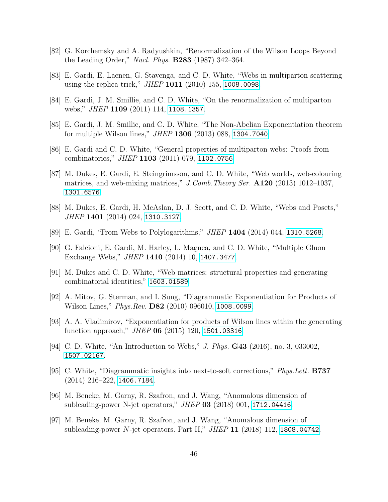- <span id="page-45-0"></span>[82] G. Korchemsky and A. Radyushkin, "Renormalization of the Wilson Loops Beyond the Leading Order," Nucl. Phys. B283 (1987) 342–364.
- <span id="page-45-1"></span>[83] E. Gardi, E. Laenen, G. Stavenga, and C. D. White, "Webs in multiparton scattering using the replica trick," *JHEP* 1011 (2010) 155, [1008.0098](http://www.arXiv.org/abs/1008.0098).
- <span id="page-45-9"></span>[84] E. Gardi, J. M. Smillie, and C. D. White, "On the renormalization of multiparton webs," *JHEP* 1109 (2011) 114, [1108.1357](http://www.arXiv.org/abs/1108.1357).
- [85] E. Gardi, J. M. Smillie, and C. D. White, "The Non-Abelian Exponentiation theorem for multiple Wilson lines," JHEP 1306 (2013) 088, [1304.7040](http://www.arXiv.org/abs/1304.7040).
- [86] E. Gardi and C. D. White, "General properties of multiparton webs: Proofs from combinatorics," JHEP 1103 (2011) 079, [1102.0756](http://www.arXiv.org/abs/1102.0756).
- <span id="page-45-10"></span>[87] M. Dukes, E. Gardi, E. Steingrimsson, and C. D. White, "Web worlds, web-colouring matrices, and web-mixing matrices," J.Comb.Theory Ser.  $A120$  (2013) 1012–1037, [1301.6576](http://www.arXiv.org/abs/1301.6576).
- <span id="page-45-11"></span>[88] M. Dukes, E. Gardi, H. McAslan, D. J. Scott, and C. D. White, "Webs and Posets," JHEP 1401 (2014) 024, [1310.3127](http://www.arXiv.org/abs/1310.3127).
- [89] E. Gardi, "From Webs to Polylogarithms," JHEP 1404 (2014) 044, [1310.5268](http://www.arXiv.org/abs/1310.5268).
- [90] G. Falcioni, E. Gardi, M. Harley, L. Magnea, and C. D. White, "Multiple Gluon Exchange Webs," JHEP 1410 (2014) 10, [1407.3477](http://www.arXiv.org/abs/1407.3477).
- <span id="page-45-2"></span>[91] M. Dukes and C. D. White, "Web matrices: structural properties and generating combinatorial identities," [1603.01589](http://www.arXiv.org/abs/1603.01589).
- <span id="page-45-3"></span>[92] A. Mitov, G. Sterman, and I. Sung, "Diagrammatic Exponentiation for Products of Wilson Lines," *Phys.Rev.* **D82** (2010) 096010, [1008.0099](http://www.arXiv.org/abs/1008.0099).
- <span id="page-45-4"></span>[93] A. A. Vladimirov, "Exponentiation for products of Wilson lines within the generating function approach," JHEP 06 (2015) 120, [1501.03316](http://www.arXiv.org/abs/1501.03316).
- <span id="page-45-5"></span>[94] C. D. White, "An Introduction to Webs," J. Phys. G43 (2016), no. 3, 033002, [1507.02167](http://www.arXiv.org/abs/1507.02167).
- <span id="page-45-6"></span>[95] C. White, "Diagrammatic insights into next-to-soft corrections," Phys.Lett. B737  $(2014)$  216–222, [1406.7184](http://www.arXiv.org/abs/1406.7184).
- <span id="page-45-7"></span>[96] M. Beneke, M. Garny, R. Szafron, and J. Wang, "Anomalous dimension of subleading-power N-jet operators," JHEP 03 (2018) 001, [1712.04416](http://www.arXiv.org/abs/1712.04416).
- <span id="page-45-8"></span>[97] M. Beneke, M. Garny, R. Szafron, and J. Wang, "Anomalous dimension of subleading-power N-jet operators. Part II,"  $JHEP$  11 (2018) 112, [1808.04742](http://www.arXiv.org/abs/1808.04742).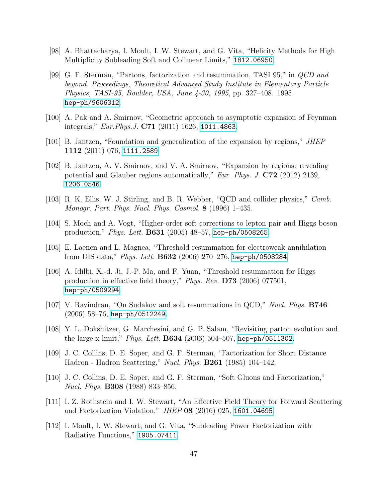- <span id="page-46-0"></span>[98] A. Bhattacharya, I. Moult, I. W. Stewart, and G. Vita, "Helicity Methods for High Multiplicity Subleading Soft and Collinear Limits," [1812.06950](http://www.arXiv.org/abs/1812.06950).
- <span id="page-46-1"></span>[99] G. F. Sterman, "Partons, factorization and resummation, TASI 95," in QCD and beyond. Proceedings, Theoretical Advanced Study Institute in Elementary Particle Physics, TASI-95, Boulder, USA, June 4-30, 1995, pp. 327–408. 1995. [hep-ph/9606312](http://www.arXiv.org/abs/hep-ph/9606312).
- <span id="page-46-2"></span>[100] A. Pak and A. Smirnov, "Geometric approach to asymptotic expansion of Feynman integrals," Eur.Phys.J. C71 (2011) 1626, [1011.4863](http://www.arXiv.org/abs/1011.4863).
- [101] B. Jantzen, "Foundation and generalization of the expansion by regions," JHEP 1112 (2011) 076, [1111.2589](http://www.arXiv.org/abs/1111.2589).
- <span id="page-46-3"></span>[102] B. Jantzen, A. V. Smirnov, and V. A. Smirnov, "Expansion by regions: revealing potential and Glauber regions automatically," Eur. Phys. J.  $C72$  (2012) 2139, [1206.0546](http://www.arXiv.org/abs/1206.0546).
- <span id="page-46-4"></span>[103] R. K. Ellis, W. J. Stirling, and B. R. Webber, "QCD and collider physics," *Camb.* Monogr. Part. Phys. Nucl. Phys. Cosmol. 8 (1996) 1–435.
- <span id="page-46-5"></span>[104] S. Moch and A. Vogt, "Higher-order soft corrections to lepton pair and Higgs boson production," Phys. Lett. B631 (2005) 48–57, [hep-ph/0508265](http://www.arXiv.org/abs/hep-ph/0508265).
- [105] E. Laenen and L. Magnea, "Threshold resummation for electroweak annihilation from DIS data," Phys. Lett. B632 (2006) 270–276, [hep-ph/0508284](http://www.arXiv.org/abs/hep-ph/0508284).
- [106] A. Idilbi, X.-d. Ji, J.-P. Ma, and F. Yuan, "Threshold resummation for Higgs production in effective field theory," Phys. Rev. D73 (2006) 077501, [hep-ph/0509294](http://www.arXiv.org/abs/hep-ph/0509294).
- <span id="page-46-6"></span>[107] V. Ravindran, "On Sudakov and soft resummations in QCD," Nucl. Phys. B746 (2006) 58–76, [hep-ph/0512249](http://www.arXiv.org/abs/hep-ph/0512249).
- <span id="page-46-7"></span>[108] Y. L. Dokshitzer, G. Marchesini, and G. P. Salam, "Revisiting parton evolution and the large-x limit," *Phys. Lett.* **B634** (2006) 504–507, [hep-ph/0511302](http://www.arXiv.org/abs/hep-ph/0511302).
- <span id="page-46-8"></span>[109] J. C. Collins, D. E. Soper, and G. F. Sterman, "Factorization for Short Distance Hadron - Hadron Scattering," Nucl. Phys. B261 (1985) 104–142.
- <span id="page-46-9"></span>[110] J. C. Collins, D. E. Soper, and G. F. Sterman, "Soft Gluons and Factorization," Nucl. Phys. B308 (1988) 833–856.
- <span id="page-46-10"></span>[111] I. Z. Rothstein and I. W. Stewart, "An Effective Field Theory for Forward Scattering and Factorization Violation," JHEP 08 (2016) 025, [1601.04695](http://www.arXiv.org/abs/1601.04695).
- <span id="page-46-11"></span>[112] I. Moult, I. W. Stewart, and G. Vita, "Subleading Power Factorization with Radiative Functions," [1905.07411](http://www.arXiv.org/abs/1905.07411).